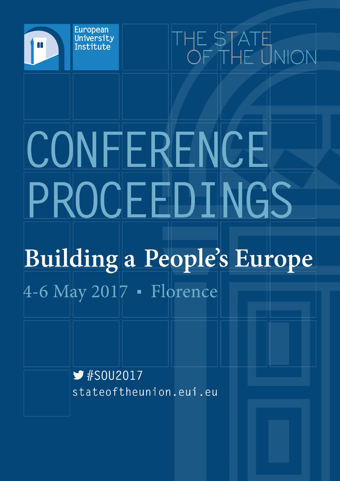



# CONFERENCE PROCEEDINGS Building a People's Europe  $4-6$  May 201 $\nabla$  • Florence

 $\blacktriangleright$ #SOU2017 stateoftheunion.eui.eu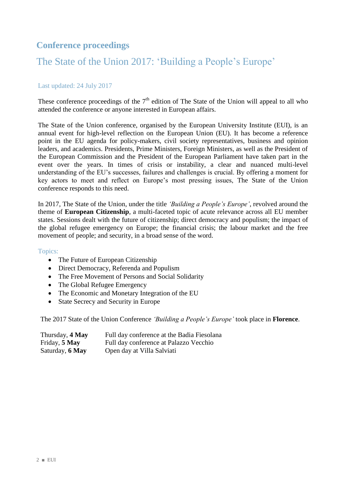# **Conference proceedings**

# The State of the Union 2017: 'Building a People's Europe'

# Last updated: 24 July 2017

These conference proceedings of the  $7<sup>th</sup>$  edition of The State of the Union will appeal to all who attended the conference or anyone interested in European affairs.

The State of the Union conference, organised by the European University Institute (EUI), is an annual event for high-level reflection on the European Union (EU). It has become a reference point in the EU agenda for policy-makers, civil society representatives, business and opinion leaders, and academics. Presidents, Prime Ministers, Foreign Ministers, as well as the President of the European Commission and the President of the European Parliament have taken part in the event over the years. In times of crisis or instability, a clear and nuanced multi-level understanding of the EU's successes, failures and challenges is crucial. By offering a moment for key actors to meet and reflect on Europe's most pressing issues, The State of the Union conference responds to this need.

In 2017, The State of the Union, under the title *'Building a People's Europe'*, revolved around the theme of **European Citizenship**, a multi-faceted topic of acute relevance across all EU member states. Sessions dealt with the future of citizenship; direct democracy and populism; the impact of the global refugee emergency on Europe; the financial crisis; the labour market and the free movement of people; and security, in a broad sense of the word.

#### Topics:

- The Future of European Citizenship
- Direct Democracy, Referenda and Populism
- The Free Movement of Persons and Social Solidarity
- The Global Refugee Emergency
- The Economic and Monetary Integration of the EU
- State Secrecy and Security in Europe

The 2017 State of the Union Conference *'Building a People's Europe'* took place in **Florence**.

| Thursday, 4 May | Full day conference at the Badia Fiesolana |
|-----------------|--------------------------------------------|
| Friday, 5 May   | Full day conference at Palazzo Vecchio     |
| Saturday, 6 May | Open day at Villa Salviati                 |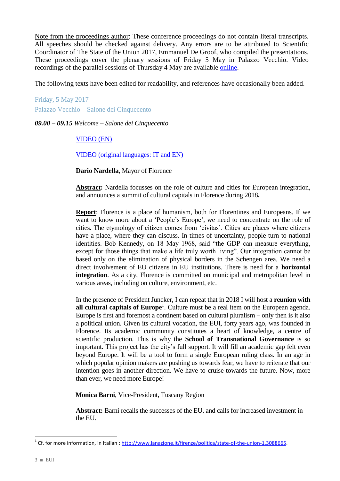Note from the proceedings author: These conference proceedings do not contain literal transcripts. All speeches should be checked against delivery. Any errors are to be attributed to Scientific Coordinator of The State of the Union 2017, Emmanuel De Groof, who compiled the presentations. These proceedings cover the plenary sessions of Friday 5 May in Palazzo Vecchio. Video recordings of the parallel sessions of Thursday 4 May are available [online.](https://stateoftheunion.eui.eu/video-recordings-of-previous-sessions/)

The following texts have been edited for readability, and references have occasionally been added.

Friday, 5 May 2017 Palazzo Vecchio – Salone dei Cinquecento

*09.00 – 09.15 Welcome – Salone dei Cinquecento*

## [VIDEO](https://www.youtube.com/watch?v=TA0n00Wu-y0&feature=youtu.be&t=2678) (EN)

[VIDEO \(original languages: IT and](https://youtu.be/XD8WjSaeNKU) EN)

**Dario Nardella**, Mayor of Florence

**Abstract:** Nardella focusses on the role of culture and cities for European integration, and announces a summit of cultural capitals in Florence during 2018**.**

**Report**: Florence is a place of humanism, both for Florentines and Europeans. If we want to know more about a 'People's Europe', we need to concentrate on the role of cities. The etymology of citizen comes from 'civitas'. Cities are places where citizens have a place, where they can discuss. In times of uncertainty, people turn to national identities. Bob Kennedy, on 18 May 1968, said "the GDP can measure everything, except for those things that make a life truly worth living". Our integration cannot be based only on the elimination of physical borders in the Schengen area. We need a direct involvement of EU citizens in EU institutions. There is need for a **horizontal integration**. As a city, Florence is committed on municipal and metropolitan level in various areas, including on culture, environment, etc.

In the presence of President Juncker, I can repeat that in 2018 I will host a **reunion with**  all cultural capitals of Europe<sup>1</sup>. Culture must be a real item on the European agenda. Europe is first and foremost a continent based on cultural pluralism – only then is it also a political union. Given its cultural vocation, the EUI, forty years ago, was founded in Florence. Its academic community constitutes a heart of knowledge, a centre of scientific production. This is why the **School of Transnational Governance** is so important. This project has the city's full support. It will fill an academic gap felt even beyond Europe. It will be a tool to form a single European ruling class. In an age in which popular opinion makers are pushing us towards fear, we have to reiterate that our intention goes in another direction. We have to cruise towards the future. Now, more than ever, we need more Europe!

 **Monica Barni**, Vice-President, Tuscany Region

**Abstract:** Barni recalls the successes of the EU, and calls for increased investment in the EU.

<sup>&</sup>lt;sup>1</sup> Cf. for more information, in Italian : [http://www.lanazione.it/firenze/politica/state-of-the-union-1.3088665.](http://www.lanazione.it/firenze/politica/state-of-the-union-1.3088665)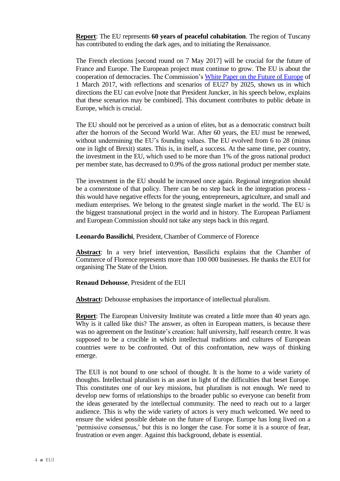**Report**: The EU represents **60 years of peaceful cohabitation**. The region of Tuscany has contributed to ending the dark ages, and to initiating the Renaissance.

The French elections [second round on 7 May 2017] will be crucial for the future of France and Europe. The European project must continue to grow. The EU is about the cooperation of democracies. The Commission's [White Paper on the Future of Europe](https://europa.eu/european-union/sites/europaeu/files/whitepaper_en.pdf) of 1 March 2017, with reflections and scenarios of EU27 by 2025, shows us in which directions the EU can evolve [note that President Juncker, in his speech below, explains that these scenarios may be combined]. This document contributes to public debate in Europe, which is crucial.

The EU should not be perceived as a union of elites, but as a democratic construct built after the horrors of the Second World War. After 60 years, the EU must be renewed, without undermining the EU's founding values. The EU evolved from 6 to 28 (minus one in light of Brexit) states. This is, in itself, a success. At the same time, per country, the investment in the EU, which used to be more than 1% of the gross national product per member state, has decreased to 0.9% of the gross national product per member state.

The investment in the EU should be increased once again. Regional integration should be a cornerstone of that policy. There can be no step back in the integration process this would have negative effects for the young, entrepreneurs, agriculture, and small and medium enterprises. We belong to the greatest single market in the world. The EU is the biggest transnational project in the world and in history. The European Parliament and European Commission should not take any steps back in this regard.

**Leonardo Bassilichi**, President, Chamber of Commerce of Florence

**Abstract**: In a very brief intervention, Bassilichi explains that the Chamber of Commerce of Florence represents more than 100 000 businesses. He thanks the EUI for organising The State of the Union.

**Renaud Dehousse**, President of the EUI

**Abstract:** Dehousse emphasises the importance of intellectual pluralism.

**Report**: The European University Institute was created a little more than 40 years ago. Why is it called like this? The answer, as often in European matters, is because there was no agreement on the Institute's creation: half university, half research centre. It was supposed to be a crucible in which intellectual traditions and cultures of European countries were to be confronted. Out of this confrontation, new ways of thinking emerge.

The EUI is not bound to one school of thought. It is the home to a wide variety of thoughts. Intellectual pluralism is an asset in light of the difficulties that beset Europe. This constitutes one of our key missions, but pluralism is not enough. We need to develop new forms of relationships to the broader public so everyone can benefit from the ideas generated by the intellectual community. The need to reach out to a larger audience. This is why the wide variety of actors is very much welcomed. We need to ensure the widest possible debate on the future of Europe. Europe has long lived on a 'permissive consensus,' but this is no longer the case. For some it is a source of fear, frustration or even anger. Against this background, debate is essential.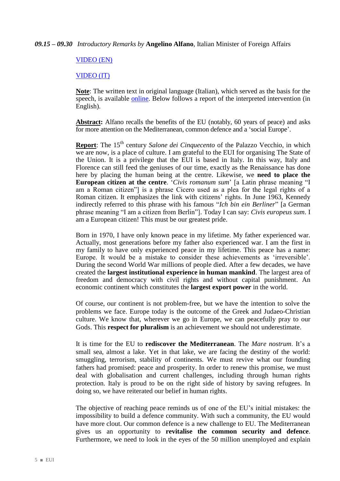#### *09.15 – 09.30 Introductory Remarks by* **Angelino Alfano**, Italian Minister of Foreign Affairs

#### [VIDEO](https://www.youtube.com/watch?v=TA0n00Wu-y0&feature=youtu.be&t=4256) (EN)

#### [VIDEO \(IT\)](https://stateoftheunion.eui.eu/video-recordings-original-language/)

**Note**: The written text in original language (Italian), which served as the basis for the speech, is available [online.](https://stateoftheunion.eui.eu/wp-content/uploads/sites/8/2017/05/Address-by-Antonio-Tajani.pdf) Below follows a report of the interpreted intervention (in English).

**Abstract:** Alfano recalls the benefits of the EU (notably, 60 years of peace) and asks for more attention on the Mediterranean, common defence and a 'social Europe'.

**Report**: The 15<sup>th</sup> century *Salone dei Cinquecento* of the Palazzo Vecchio, in which we are now, is a place of culture. I am grateful to the EUI for organising The State of the Union. It is a privilege that the EUI is based in Italy. In this way, Italy and Florence can still feed the geniuses of our time, exactly as the Renaissance has done here by placing the human being at the centre. Likewise, we **need to place the European citizen at the centre**. '*Civis romanum sum*' [a Latin phrase meaning "I am a Roman citizen"] is a phrase Cicero used as a plea for the legal rights of a Roman citizen. It emphasizes the link with citizens' rights. In June 1963, Kennedy indirectly referred to this phrase with his famous "*Ich bin ein Berliner*" [a German phrase meaning "I am a citizen from Berlin"]. Today I can say: *Civis europeus sum*. I am a European citizen! This must be our greatest pride.

Born in 1970, I have only known peace in my lifetime. My father experienced war. Actually, most generations before my father also experienced war. I am the first in my family to have only experienced peace in my lifetime. This peace has a name: Europe. It would be a mistake to consider these achievements as 'irreversible'. During the second World War millions of people died. After a few decades, we have created the **largest institutional experience in human mankind**. The largest area of freedom and democracy with civil rights and without capital punishment. An economic continent which constitutes the **largest export power** in the world.

Of course, our continent is not problem-free, but we have the intention to solve the problems we face. Europe today is the outcome of the Greek and Judaeo-Christian culture. We know that, wherever we go in Europe, we can peacefully pray to our Gods. This **respect for pluralism** is an achievement we should not underestimate.

It is time for the EU to **rediscover the Mediterranean**. The *Mare nostrum*. It's a small sea, almost a lake. Yet in that lake, we are facing the destiny of the world: smuggling, terrorism, stability of continents. We must revive what our founding fathers had promised: peace and prosperity. In order to renew this promise, we must deal with globalisation and current challenges, including through human rights protection. Italy is proud to be on the right side of history by saving refugees. In doing so, we have reiterated our belief in human rights.

The objective of reaching peace reminds us of one of the EU's initial mistakes: the impossibility to build a defence community. With such a community, the EU would have more clout. Our common defence is a new challenge to EU. The Mediterranean gives us an opportunity to **revitalise the common security and defence**. Furthermore, we need to look in the eyes of the 50 million unemployed and explain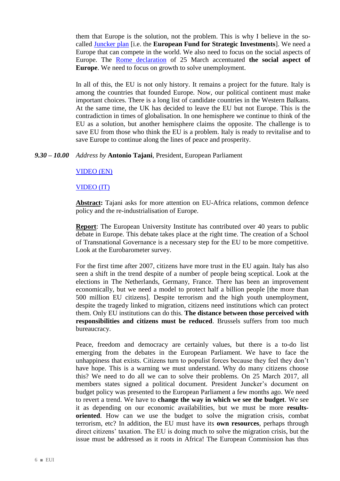them that Europe is the solution, not the problem. This is why I believe in the socalled [Juncker plan](https://ec.europa.eu/commission/priorities/jobs-growth-and-investment/investment-plan_en) [i.e. the **European Fund for Strategic Investments**]. We need a Europe that can compete in the world. We also need to focus on the social aspects of Europe. The [Rome declaration](http://www.consilium.europa.eu/en/press/press-releases/2017/03/25-rome-declaration/) of 25 March accentuated **the social aspect of Europe**. We need to focus on growth to solve unemployment.

In all of this, the EU is not only history. It remains a project for the future. Italy is among the countries that founded Europe. Now, our political continent must make important choices. There is a long list of candidate countries in the Western Balkans. At the same time, the UK has decided to leave the EU but not Europe. This is the contradiction in times of globalisation. In one hemisphere we continue to think of the EU as a solution, but another hemisphere claims the opposite. The challenge is to save EU from those who think the EU is a problem. Italy is ready to revitalise and to save Europe to continue along the lines of peace and prosperity.

#### *9.30 – 10.00 Address by* **Antonio Tajani**, President, European Parliament

#### [VIDEO](https://www.youtube.com/watch?v=TA0n00Wu-y0&feature=youtu.be&t=5227) (EN)

#### [VIDEO \(IT\)](https://youtu.be/amLa_hOTPdY)

Abstract: Tajani asks for more attention on EU-Africa relations, common defence policy and the re-industrialisation of Europe.

**Report**: The European University Institute has contributed over 40 years to public debate in Europe. This debate takes place at the right time. The creation of a School of Transnational Governance is a necessary step for the EU to be more competitive. Look at the Eurobarometer survey.

For the first time after 2007, citizens have more trust in the EU again. Italy has also seen a shift in the trend despite of a number of people being sceptical. Look at the elections in The Netherlands, Germany, France. There has been an improvement economically, but we need a model to protect half a billion people [the more than 500 million EU citizens]. Despite terrorism and the high youth unemployment, despite the tragedy linked to migration, citizens need institutions which can protect them. Only EU institutions can do this. **The distance between those perceived with responsibilities and citizens must be reduced**. Brussels suffers from too much bureaucracy.

Peace, freedom and democracy are certainly values, but there is a to-do list emerging from the debates in the European Parliament. We have to face the unhappiness that exists. Citizens turn to populist forces because they feel they don't have hope. This is a warning we must understand. Why do many citizens choose this? We need to do all we can to solve their problems. On 25 March 2017, all members states signed a political document. President Juncker's document on budget policy was presented to the European Parliament a few months ago. We need to revert a trend. We have to **change the way in which we see the budget**. We see it as depending on our economic availabilities, but we must be more **resultsoriented**. How can we use the budget to solve the migration crisis, combat terrorism, etc? In addition, the EU must have its **own resources**, perhaps through direct citizens' taxation. The EU is doing much to solve the migration crisis, but the issue must be addressed as it roots in Africa! The European Commission has thus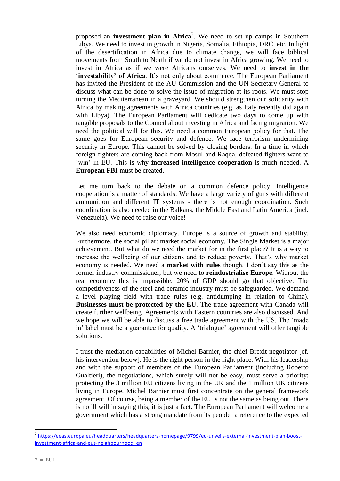proposed an **investment plan in Africa**<sup>2</sup> . We need to set up camps in Southern Libya. We need to invest in growth in Nigeria, Somalia, Ethiopia, DRC, etc. In light of the desertification in Africa due to climate change, we will face biblical movements from South to North if we do not invest in Africa growing. We need to invest in Africa as if we were Africans ourselves. We need to **invest in the 'investability' of Africa**. It's not only about commerce. The European Parliament has invited the President of the AU Commission and the UN Secretary-General to discuss what can be done to solve the issue of migration at its roots. We must stop turning the Mediterranean in a graveyard. We should strengthen our solidarity with Africa by making agreements with Africa countries (e.g. as Italy recently did again with Libya). The European Parliament will dedicate two days to come up with tangible proposals to the Council about investing in Africa and facing migration. We need the political will for this. We need a common European policy for that. The same goes for European security and defence. We face terrorism undermining security in Europe. This cannot be solved by closing borders. In a time in which foreign fighters are coming back from Mosul and Raqqa, defeated fighters want to 'win' in EU. This is why **increased intelligence cooperation** is much needed. A **European FBI** must be created.

Let me turn back to the debate on a common defence policy. Intelligence cooperation is a matter of standards. We have a large variety of guns with different ammunition and different IT systems - there is not enough coordination. Such coordination is also needed in the Balkans, the Middle East and Latin America (incl. Venezuela). We need to raise our voice!

We also need economic diplomacy. Europe is a source of growth and stability. Furthermore, the social pillar: market social economy. The Single Market is a major achievement. But what do we need the market for in the first place? It is a way to increase the wellbeing of our citizens and to reduce poverty. That's why market economy is needed. We need a **market with rules** though. I don't say this as the former industry commissioner, but we need to **reindustrialise Europe**. Without the real economy this is impossible. 20% of GDP should go that objective. The competitiveness of the steel and ceramic industry must be safeguarded. We demand a level playing field with trade rules (e.g. antidumping in relation to China). **Businesses must be protected by the EU**. The trade agreement with Canada will create further wellbeing. Agreements with Eastern countries are also discussed. And we hope we will be able to discuss a free trade agreement with the US. The 'made in' label must be a guarantee for quality. A 'trialogue' agreement will offer tangible solutions.

I trust the mediation capabilities of Michel Barnier, the chief Brexit negotiator [cf. his intervention below]. He is the right person in the right place. With his leadership and with the support of members of the European Parliament (including Roberto Gualtieri), the negotiations, which surely will not be easy, must serve a priority: protecting the 3 million EU citizens living in the UK and the 1 million UK citizens living in Europe. Michel Barnier must first concentrate on the general framework agreement. Of course, being a member of the EU is not the same as being out. There is no ill will in saying this; it is just a fact. The European Parliament will welcome a government which has a strong mandate from its people [a reference to the expected

<sup>&</sup>lt;sup>2</sup> [https://eeas.europa.eu/headquarters/headquarters-homepage/9799/eu-unveils-external-investment-plan-boost](https://eeas.europa.eu/headquarters/headquarters-homepage/9799/eu-unveils-external-investment-plan-boost-investment-africa-and-eus-neighbourhood_en)[investment-africa-and-eus-neighbourhood\\_en](https://eeas.europa.eu/headquarters/headquarters-homepage/9799/eu-unveils-external-investment-plan-boost-investment-africa-and-eus-neighbourhood_en)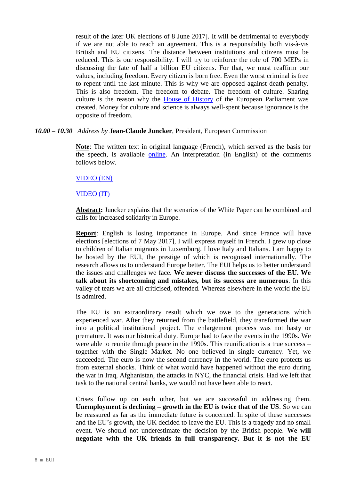result of the later UK elections of 8 June 2017]. It will be detrimental to everybody if we are not able to reach an agreement. This is a responsibility both vis-à-vis British and EU citizens. The distance between institutions and citizens must be reduced. This is our responsibility. I will try to reinforce the role of 700 MEPs in discussing the fate of half a billion EU citizens. For that, we must reaffirm our values, including freedom. Every citizen is born free. Even the worst criminal is free to repent until the last minute. This is why we are opposed against death penalty. This is also freedom. The freedom to debate. The freedom of culture. Sharing culture is the reason why the [House of History](http://www.europarl.europa.eu/visiting/en/brussels/house-of-european-history) of the European Parliament was created. Money for culture and science is always well-spent because ignorance is the opposite of freedom.

#### *10.00 – 10.30 Address by* **Jean-Claude Juncker**, President, European Commission

**Note**: The written text in original language (French), which served as the basis for the speech, is available [online.](https://stateoftheunion.eui.eu/wp-content/uploads/sites/8/2017/05/Address-by-Jean-Claude-Juncker.pdf) An interpretation (in English) of the comments follows below.

#### [VIDEO](https://www.youtube.com/watch?v=TA0n00Wu-y0&feature=youtu.be&t=7224) (EN)

#### [VIDEO \(IT\)](https://youtu.be/gCnlPmc9Yno)

**Abstract:** Juncker explains that the scenarios of the White Paper can be combined and calls for increased solidarity in Europe.

**Report**: English is losing importance in Europe. And since France will have elections [elections of 7 May 2017], I will express myself in French. I grew up close to children of Italian migrants in Luxemburg. I love Italy and Italians. I am happy to be hosted by the EUI, the prestige of which is recognised internationally. The research allows us to understand Europe better. The EUI helps us to better understand the issues and challenges we face. **We never discuss the successes of the EU. We talk about its shortcoming and mistakes, but its success are numerous**. In this valley of tears we are all criticised, offended. Whereas elsewhere in the world the EU is admired.

The EU is an extraordinary result which we owe to the generations which experienced war. After they returned from the battlefield, they transformed the war into a political institutional project. The enlargement process was not hasty or premature. It was our historical duty. Europe had to face the events in the 1990s. We were able to reunite through peace in the 1990s. This reunification is a true success – together with the Single Market. No one believed in single currency. Yet, we succeeded. The euro is now the second currency in the world. The euro protects us from external shocks. Think of what would have happened without the euro during the war in Iraq, Afghanistan, the attacks in NYC, the financial crisis. Had we left that task to the national central banks, we would not have been able to react.

Crises follow up on each other, but we are successful in addressing them. **Unemployment is declining – growth in the EU is twice that of the US**. So we can be reassured as far as the immediate future is concerned. In spite of these successes and the EU's growth, the UK decided to leave the EU. This is a tragedy and no small event. We should not underestimate the decision by the British people. **We will negotiate with the UK friends in full transparency. But it is not the EU**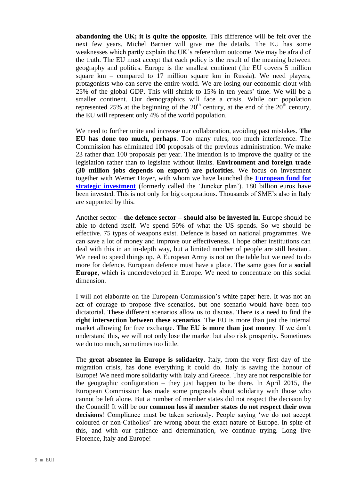**abandoning the UK; it is quite the opposite**. This difference will be felt over the next few years. Michel Barnier will give me the details. The EU has some weaknesses which partly explain the UK's referendum outcome. We may be afraid of the truth. The EU must accept that each policy is the result of the meaning between geography and politics. Europe is the smallest continent (the EU covers 5 million square km – compared to 17 million square km in Russia). We need players, protagonists who can serve the entire world. We are losing our economic clout with 25% of the global GDP. This will shrink to 15% in ten years' time. We will be a smaller continent. Our demographics will face a crisis. While our population represented 25% at the beginning of the  $20<sup>th</sup>$  century, at the end of the  $20<sup>th</sup>$  century, the EU will represent only 4% of the world population.

We need to further unite and increase our collaboration, avoiding past mistakes. **The EU has done too much, perhaps**. Too many rules, too much interference. The Commission has eliminated 100 proposals of the previous administration. We make 23 rather than 100 proposals per year. The intention is to improve the quality of the legislation rather than to legislate without limits. **Environment and foreign trade (30 million jobs depends on export) are priorities**. We focus on investment together with Werner Hoyer, with whom we have launched the **[European fund for](http://ec.europa.eu/growth/industry/innovation/funding/efsi_en)  [strategic investment](http://ec.europa.eu/growth/industry/innovation/funding/efsi_en)** (formerly called the 'Juncker plan'). 180 billion euros have been invested. This is not only for big corporations. Thousands of SME's also in Italy are supported by this.

Another sector – **the defence sector – should also be invested in**. Europe should be able to defend itself. We spend 50% of what the US spends. So we should be effective. 75 types of weapons exist. Defence is based on national programmes. We can save a lot of money and improve our effectiveness. I hope other institutions can deal with this in an in-depth way, but a limited number of people are still hesitant. We need to speed things up. A European Army is not on the table but we need to do more for defence. European defence must have a place. The same goes for a **social Europe**, which is underdeveloped in Europe. We need to concentrate on this social dimension.

I will not elaborate on the European Commission's white paper here. It was not an act of courage to propose five scenarios, but one scenario would have been too dictatorial. These different scenarios allow us to discuss. There is a need to find the **right intersection between these scenarios**. The EU is more than just the internal market allowing for free exchange. **The EU is more than just money**. If we don't understand this, we will not only lose the market but also risk prosperity. Sometimes we do too much, sometimes too little.

The **great absentee in Europe is solidarity**. Italy, from the very first day of the migration crisis, has done everything it could do. Italy is saving the honour of Europe! We need more solidarity with Italy and Greece. They are not responsible for the geographic configuration – they just happen to be there. In April 2015, the European Commission has made some proposals about solidarity with those who cannot be left alone. But a number of member states did not respect the decision by the Council! It will be our **common loss if member states do not respect their own decisions**! Compliance must be taken seriously. People saying 'we do not accept coloured or non-Catholics' are wrong about the exact nature of Europe. In spite of this, and with our patience and determination, we continue trying. Long live Florence, Italy and Europe!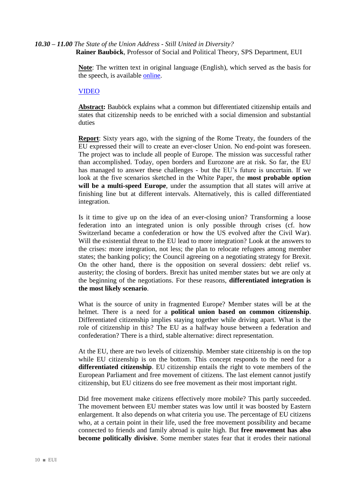#### *10.30 – 11.00 The State of the Union Address - Still United in Diversity?*  **Rainer Bauböck**, Professor of Social and Political Theory, SPS Department, EUI

**Note**: The written text in original language (English), which served as the basis for the speech, is available [online.](https://stateoftheunion.eui.eu/wp-content/uploads/sites/8/2017/05/The-State-of-the-Union-Address-by-Rainer-Baub%C3%B6ck.pdf)

#### [VIDEO](https://www.youtube.com/watch?v=TA0n00Wu-y0&feature=youtu.be&t=8874)

Abstract: Bauböck explains what a common but differentiated citizenship entails and states that citizenship needs to be enriched with a social dimension and substantial duties

**Report**: Sixty years ago, with the signing of the Rome Treaty, the founders of the EU expressed their will to create an ever-closer Union. No end-point was foreseen. The project was to include all people of Europe. The mission was successful rather than accomplished. Today, open borders and Eurozone are at risk. So far, the EU has managed to answer these challenges - but the EU's future is uncertain. If we look at the five scenarios sketched in the White Paper, the **most probable option will be a multi-speed Europe**, under the assumption that all states will arrive at finishing line but at different intervals. Alternatively, this is called differentiated integration.

Is it time to give up on the idea of an ever-closing union? Transforming a loose federation into an integrated union is only possible through crises (cf. how Switzerland became a confederation or how the US evolved after the Civil War). Will the existential threat to the EU lead to more integration? Look at the answers to the crises: more integration, not less; the plan to relocate refugees among member states; the banking policy; the Council agreeing on a negotiating strategy for Brexit. On the other hand, there is the opposition on several dossiers: debt relief vs. austerity; the closing of borders. Brexit has united member states but we are only at the beginning of the negotiations. For these reasons, **differentiated integration is the most likely scenario**.

What is the source of unity in fragmented Europe? Member states will be at the helmet. There is a need for a **political union based on common citizenship**. Differentiated citizenship implies staying together while driving apart. What is the role of citizenship in this? The EU as a halfway house between a federation and confederation? There is a third, stable alternative: direct representation.

At the EU, there are two levels of citizenship. Member state citizenship is on the top while EU citizenship is on the bottom. This concept responds to the need for a **differentiated citizenship**. EU citizenship entails the right to vote members of the European Parliament and free movement of citizens. The last element cannot justify citizenship, but EU citizens do see free movement as their most important right.

Did free movement make citizens effectively more mobile? This partly succeeded. The movement between EU member states was low until it was boosted by Eastern enlargement. It also depends on what criteria you use. The percentage of EU citizens who, at a certain point in their life, used the free movement possibility and became connected to friends and family abroad is quite high. But **free movement has also become politically divisive**. Some member states fear that it erodes their national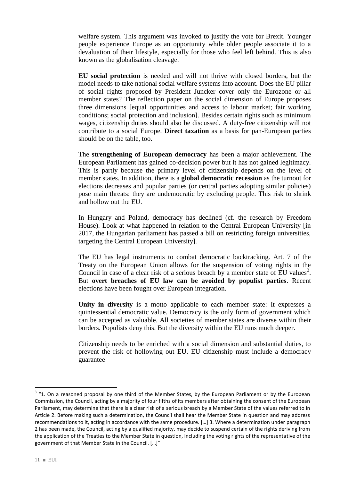welfare system. This argument was invoked to justify the vote for Brexit. Younger people experience Europe as an opportunity while older people associate it to a devaluation of their lifestyle, especially for those who feel left behind. This is also known as the globalisation cleavage.

**EU social protection** is needed and will not thrive with closed borders, but the model needs to take national social welfare systems into account. Does the EU pillar of social rights proposed by President Juncker cover only the Eurozone or all member states? The reflection paper on the social dimension of Europe proposes three dimensions [equal opportunities and access to labour market; fair working conditions; social protection and inclusion]. Besides certain rights such as minimum wages, citizenship duties should also be discussed. A duty-free citizenship will not contribute to a social Europe. **Direct taxation** as a basis for pan-European parties should be on the table, too.

The **strengthening of European democracy** has been a major achievement. The European Parliament has gained co-decision power but it has not gained legitimacy. This is partly because the primary level of citizenship depends on the level of member states. In addition, there is a **global democratic recession** as the turnout for elections decreases and popular parties (or central parties adopting similar policies) pose main threats: they are undemocratic by excluding people. This risk to shrink and hollow out the EU.

In Hungary and Poland, democracy has declined (cf. the research by Freedom House). Look at what happened in relation to the Central European University [in 2017, the Hungarian parliament has passed a bill on restricting foreign universities, targeting the Central European University].

The EU has legal instruments to combat democratic backtracking. Art. 7 of the Treaty on the European Union allows for the suspension of voting rights in the Council in case of a clear risk of a serious breach by a member state of EU values<sup>3</sup>. But **overt breaches of EU law can be avoided by populist parties**. Recent elections have been fought over European integration.

**Unity in diversity** is a motto applicable to each member state: It expresses a quintessential democratic value. Democracy is the only form of government which can be accepted as valuable. All societies of member states are diverse within their borders. Populists deny this. But the diversity within the EU runs much deeper.

Citizenship needs to be enriched with a social dimension and substantial duties, to prevent the risk of hollowing out EU. EU citizenship must include a democracy guarantee

 $3$  "1. On a reasoned proposal by one third of the Member States, by the European Parliament or by the European Commission, the Council, acting by a majority of four fifths of its members after obtaining the consent of the European Parliament, may determine that there is a clear risk of a serious breach by a Member State of the values referred to in Article 2. Before making such a determination, the Council shall hear the Member State in question and may address recommendations to it, acting in accordance with the same procedure. […] 3. Where a determination under paragraph 2 has been made, the Council, acting by a qualified majority, may decide to suspend certain of the rights deriving from the application of the Treaties to the Member State in question, including the voting rights of the representative of the government of that Member State in the Council. […]"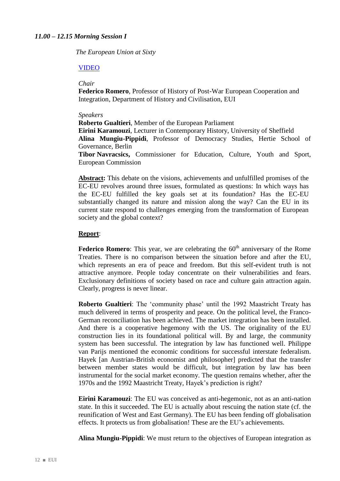*The European Union at Sixty* 

#### [VIDEO](https://www.youtube.com/watch?v=TA0n00Wu-y0&feature=youtu.be&t=10790)

#### *Chair*

**Federico Romero**, Professor of History of Post-War European Cooperation and Integration, Department of History and Civilisation, EUI

#### *Speakers*

**Roberto Gualtieri**, Member of the European Parliament

**Eirini Karamouzi**, Lecturer in Contemporary History, University of Sheffield

**Alina Mungiu-Pippidi**, Professor of Democracy Studies, Hertie School of Governance, Berlin

**Tibor Navracsics,** Commissioner for Education, Culture, Youth and Sport, European Commission

**Abstract:** This debate on the visions, achievements and unfulfilled promises of the EC-EU revolves around three issues, formulated as questions: In which ways has the EC-EU fulfilled the key goals set at its foundation? Has the EC-EU substantially changed its nature and mission along the way? Can the EU in its current state respond to challenges emerging from the transformation of European society and the global context?

## **Report**:

**Federico Romero**: This year, we are celebrating the 60<sup>th</sup> anniversary of the Rome Treaties. There is no comparison between the situation before and after the EU, which represents an era of peace and freedom. But this self-evident truth is not attractive anymore. People today concentrate on their vulnerabilities and fears. Exclusionary definitions of society based on race and culture gain attraction again. Clearly, progress is never linear.

**Roberto Gualtieri**: The 'community phase' until the 1992 Maastricht Treaty has much delivered in terms of prosperity and peace. On the political level, the Franco-German reconciliation has been achieved. The market integration has been installed. And there is a cooperative hegemony with the US. The originality of the EU construction lies in its foundational political will. By and large, the community system has been successful. The integration by law has functioned well. Philippe van Parijs mentioned the economic conditions for successful interstate federalism. Hayek [an Austrian-British economist and philosopher] predicted that the transfer between member states would be difficult, but integration by law has been instrumental for the social market economy. The question remains whether, after the 1970s and the 1992 Maastricht Treaty, Hayek's prediction is right?

**Eirini Karamouzi**: The EU was conceived as anti-hegemonic, not as an anti-nation state. In this it succeeded. The EU is actually about rescuing the nation state (cf. the reunification of West and East Germany). The EU has been fending off globalisation effects. It protects us from globalisation! These are the EU's achievements.

**Alina Mungiu-Pippidi**: We must return to the objectives of European integration as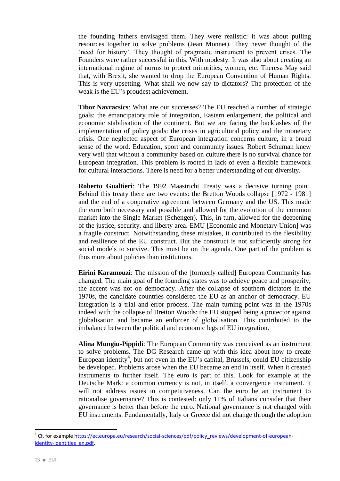the founding fathers envisaged them. They were realistic: it was about pulling resources together to solve problems (Jean Monnet). They never thought of the 'need for history'. They thought of pragmatic instrument to prevent crises. The Founders were rather successful in this. With modesty. It was also about creating an international regime of norms to protect minorities, women, etc. Theresa May said that, with Brexit, she wanted to drop the European Convention of Human Rights. This is very upsetting. What shall we now say to dictators? The protection of the weak is the EU's proudest achievement.

**Tibor Navracsics**: What are our successes? The EU reached a number of strategic goals: the emancipatory role of integration, Eastern enlargement, the political and economic stabilisation of the continent. But we are facing the backlashes of the implementation of policy goals: the crises in agricultural policy and the monetary crisis. One neglected aspect of European integration concerns culture, in a broad sense of the word. Education, sport and community issues. Robert Schuman knew very well that without a community based on culture there is no survival chance for European integration. This problem is rooted in lack of even a flexible framework for cultural interactions. There is need for a better understanding of our diversity.

**Roberto Gualtieri**: The 1992 Maastricht Treaty was a decisive turning point. Behind this treaty there are two events: the Bretton Woods collapse [1972 - 1981] and the end of a cooperative agreement between Germany and the US. This made the euro both necessary and possible and allowed for the evolution of the common market into the Single Market (Schengen). This, in turn, allowed for the deepening of the justice, security, and liberty area. EMU [Economic and Monetary Union] was a fragile construct. Notwithstanding these mistakes, it contributed to the flexibility and resilience of the EU construct. But the construct is not sufficiently strong for social models to survive. This must be on the agenda. One part of the problem is thus more about policies than institutions.

**Eirini Karamouzi**: The mission of the [formerly called] European Community has changed. The main goal of the founding states was to achieve peace and prosperity; the accent was not on democracy. After the collapse of southern dictators in the 1970s, the candidate countries considered the EU as an anchor of democracy. EU integration is a trial and error process. The main turning point was in the 1970s indeed with the collapse of Bretton Woods: the EU stopped being a protector against globalisation and became an enforcer of globalisation. This contributed to the imbalance between the political and economic legs of EU integration.

**Alina Mungiu-Pippidi**: The European Community was conceived as an instrument to solve problems. The DG Research came up with this idea about how to create European identity<sup>4</sup>, but not even in the EU's capital, Brussels, could EU citizenship be developed. Problems arose when the EU became an end in itself. When it created instruments to further itself. The euro is part of this. Look for example at the Deutsche Mark: a common currency is not, in itself, a convergence instrument. It will not address issues in competitiveness. Can the euro be an instrument to rationalise governance? This is contested: only 11% of Italians consider that their governance is better than before the euro. National governance is not changed with EU instruments. Fundamentally, Italy or Greece did not change through the adoption

<sup>4</sup> Cf. for exampl[e https://ec.europa.eu/research/social-sciences/pdf/policy\\_reviews/development-of-european](https://ec.europa.eu/research/social-sciences/pdf/policy_reviews/development-of-european-identity-identities_en.pdf)[identity-identities\\_en.pdf.](https://ec.europa.eu/research/social-sciences/pdf/policy_reviews/development-of-european-identity-identities_en.pdf)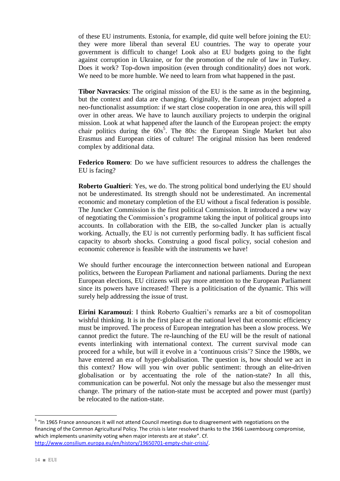of these EU instruments. Estonia, for example, did quite well before joining the EU: they were more liberal than several EU countries. The way to operate your government is difficult to change! Look also at EU budgets going to the fight against corruption in Ukraine, or for the promotion of the rule of law in Turkey. Does it work? Top-down imposition (even through conditionality) does not work. We need to be more humble. We need to learn from what happened in the past.

**Tibor Navracsics**: The original mission of the EU is the same as in the beginning, but the context and data are changing. Originally, the European project adopted a neo-functionalist assumption: if we start close cooperation in one area, this will spill over in other areas. We have to launch auxiliary projects to underpin the original mission. Look at what happened after the launch of the European project: the empty chair politics during the  $60s^5$ . The 80s: the European Single Market but also Erasmus and European cities of culture! The original mission has been rendered complex by additional data.

**Federico Romero**: Do we have sufficient resources to address the challenges the EU is facing?

**Roberto Gualtieri**: Yes, we do. The strong political bond underlying the EU should not be underestimated. Its strength should not be underestimated. An incremental economic and monetary completion of the EU without a fiscal federation is possible. The Juncker Commission is the first political Commission. It introduced a new way of negotiating the Commission's programme taking the input of political groups into accounts. In collaboration with the EIB, the so-called Juncker plan is actually working. Actually, the EU is not currently performing badly. It has sufficient fiscal capacity to absorb shocks. Construing a good fiscal policy, social cohesion and economic coherence is feasible with the instruments we have!

We should further encourage the interconnection between national and European politics, between the European Parliament and national parliaments. During the next European elections, EU citizens will pay more attention to the European Parliament since its powers have increased! There is a politicisation of the dynamic. This will surely help addressing the issue of trust.

**Eirini Karamouzi**: I think Roberto Gualtieri's remarks are a bit of cosmopolitan wishful thinking. It is in the first place at the national level that economic efficiency must be improved. The process of European integration has been a slow process. We cannot predict the future. The re-launching of the EU will be the result of national events interlinking with international context. The current survival mode can proceed for a while, but will it evolve in a 'continuous crisis'? Since the 1980s, we have entered an era of hyper-globalisation. The question is, how should we act in this context? How will you win over public sentiment: through an elite-driven globalisation or by accentuating the role of the nation-state? In all this, communication can be powerful. Not only the message but also the messenger must change. The primary of the nation-state must be accepted and power must (partly) be relocated to the nation-state.

 5 "In 1965 France announces it will not attend Council meetings due to disagreement with negotiations on the financing of the Common Agricultural Policy. The crisis is later resolved thanks to the 1966 Luxembourg compromise, which implements unanimity voting when major interests are at stake". Cf. [http://www.consilium.europa.eu/en/history/19650701-empty-chair-crisis/.](http://www.consilium.europa.eu/en/history/19650701-empty-chair-crisis/)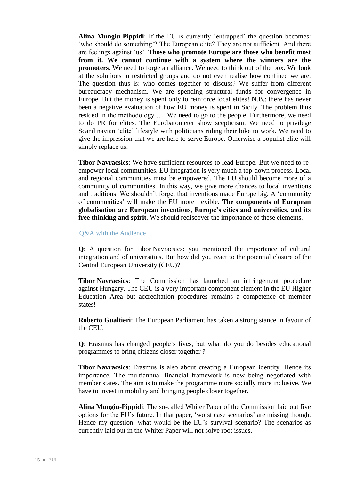**Alina Mungiu-Pippidi**: If the EU is currently 'entrapped' the question becomes: 'who should do something'? The European elite? They are not sufficient. And there are feelings against 'us'. **Those who promote Europe are those who benefit most from it. We cannot continue with a system where the winners are the promoters**. We need to forge an alliance. We need to think out of the box. We look at the solutions in restricted groups and do not even realise how confined we are. The question thus is: who comes together to discuss? We suffer from different bureaucracy mechanism. We are spending structural funds for convergence in Europe. But the money is spent only to reinforce local elites! N.B.: there has never been a negative evaluation of how EU money is spent in Sicily. The problem thus resided in the methodology …. We need to go to the people. Furthermore, we need to do PR for elites. The Eurobarometer show scepticism. We need to privilege Scandinavian 'elite' lifestyle with politicians riding their bike to work. We need to give the impression that we are here to serve Europe. Otherwise a populist elite will simply replace us.

**Tibor Navracsics**: We have sufficient resources to lead Europe. But we need to reempower local communities. EU integration is very much a top-down process. Local and regional communities must be empowered. The EU should become more of a community of communities. In this way, we give more chances to local inventions and traditions. We shouldn't forget that inventions made Europe big. A 'community of communities' will make the EU more flexible. **The components of European globalisation are European inventions, Europe's cities and universities, and its free thinking and spirit**. We should rediscover the importance of these elements.

#### Q&A with the Audience

**Q**: A question for Tibor Navracsics: you mentioned the importance of cultural integration and of universities. But how did you react to the potential closure of the Central European University (CEU)?

**Tibor Navracsics**: The Commission has launched an infringement procedure against Hungary. The CEU is a very important component element in the EU Higher Education Area but accreditation procedures remains a competence of member states!

**Roberto Gualtieri**: The European Parliament has taken a strong stance in favour of the CEU.

**Q**: Erasmus has changed people's lives, but what do you do besides educational programmes to bring citizens closer together ?

**Tibor Navracsics**: Erasmus is also about creating a European identity. Hence its importance. The multiannual financial framework is now being negotiated with member states. The aim is to make the programme more socially more inclusive. We have to invest in mobility and bringing people closer together.

**Alina Mungiu-Pippidi**: The so-called Whiter Paper of the Commission laid out five options for the EU's future. In that paper, 'worst case scenarios' are missing though. Hence my question: what would be the EU's survival scenario? The scenarios as currently laid out in the Whiter Paper will not solve root issues.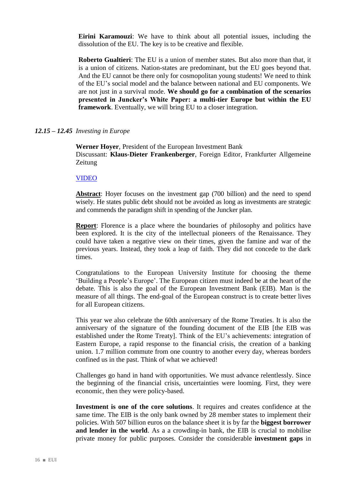**Eirini Karamouzi**: We have to think about all potential issues, including the dissolution of the EU. The key is to be creative and flexible.

**Roberto Gualtieri**: The EU is a union of member states. But also more than that, it is a union of citizens. Nation-states are predominant, but the EU goes beyond that. And the EU cannot be there only for cosmopolitan young students! We need to think of the EU's social model and the balance between national and EU components. We are not just in a survival mode. **We should go for a combination of the scenarios presented in Juncker's White Paper: a multi-tier Europe but within the EU framework**. Eventually, we will bring EU to a closer integration.

#### *12.15 – 12.45 Investing in Europe*

**Werner Hoyer**, President of the European Investment Bank Discussant: **Klaus-Dieter Frankenberger**, Foreign Editor, Frankfurter Allgemeine Zeitung

#### [VIDEO](https://www.youtube.com/watch?v=TA0n00Wu-y0&feature=youtu.be&t=14921)

**Abstract**: Hoyer focuses on the investment gap (700 billion) and the need to spend wisely. He states public debt should not be avoided as long as investments are strategic and commends the paradigm shift in spending of the Juncker plan.

**Report**: Florence is a place where the boundaries of philosophy and politics have been explored. It is the city of the intellectual pioneers of the Renaissance. They could have taken a negative view on their times, given the famine and war of the previous years. Instead, they took a leap of faith. They did not concede to the dark times.

Congratulations to the European University Institute for choosing the theme 'Building a People's Europe'. The European citizen must indeed be at the heart of the debate. This is also the goal of the European Investment Bank (EIB). Man is the measure of all things. The end-goal of the European construct is to create better lives for all European citizens.

This year we also celebrate the 60th anniversary of the Rome Treaties. It is also the anniversary of the signature of the founding document of the EIB [the EIB was established under the Rome Treaty]. Think of the EU's achievements: integration of Eastern Europe, a rapid response to the financial crisis, the creation of a banking union. 1.7 million commute from one country to another every day, whereas borders confined us in the past. Think of what we achieved!

Challenges go hand in hand with opportunities. We must advance relentlessly. Since the beginning of the financial crisis, uncertainties were looming. First, they were economic, then they were policy-based.

**Investment is one of the core solutions**. It requires and creates confidence at the same time. The EIB is the only bank owned by 28 member states to implement their policies. With 507 billion euros on the balance sheet it is by far the **biggest borrower and lender in the world**. As a a crowding-in bank, the EIB is crucial to mobilise private money for public purposes. Consider the considerable **investment gaps** in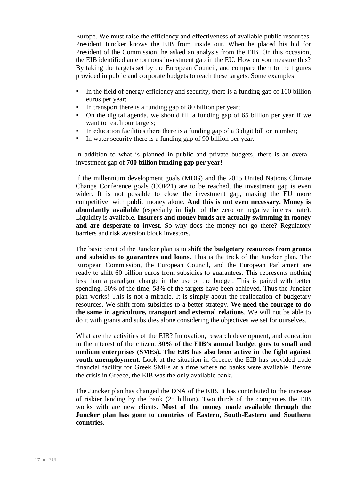Europe. We must raise the efficiency and effectiveness of available public resources. President Juncker knows the EIB from inside out. When he placed his bid for President of the Commission, he asked an analysis from the EIB. On this occasion, the EIB identified an enormous investment gap in the EU. How do you measure this? By taking the targets set by the European Council, and compare them to the figures provided in public and corporate budgets to reach these targets. Some examples:

- In the field of energy efficiency and security, there is a funding gap of 100 billion euros per year;
- In transport there is a funding gap of 80 billion per year;
- On the digital agenda, we should fill a funding gap of 65 billion per year if we want to reach our targets;
- In education facilities there there is a funding gap of a 3 digit billion number;
- In water security there is a funding gap of 90 billion per year.

In addition to what is planned in public and private budgets, there is an overall investment gap of **700 billion funding gap per year**!

If the millennium development goals (MDG) and the 2015 United Nations Climate Change Conference goals (COP21) are to be reached, the investment gap is even wider. It is not possible to close the investment gap, making the EU more competitive, with public money alone. **And this is not even necessary. Money is abundantly available** (especially in light of the zero or negative interest rate). Liquidity is available. **Insurers and money funds are actually swimming in money and are desperate to invest**. So why does the money not go there? Regulatory barriers and risk aversion block investors.

The basic tenet of the Juncker plan is to **shift the budgetary resources from grants and subsidies to guarantees and loans**. This is the trick of the Juncker plan. The European Commission, the European Council, and the European Parliament are ready to shift 60 billion euros from subsidies to guarantees. This represents nothing less than a paradigm change in the use of the budget. This is paired with better spending. 50% of the time, 58% of the targets have been achieved. Thus the Juncker plan works! This is not a miracle. It is simply about the reallocation of budgetary resources. We shift from subsidies to a better strategy. **We need the courage to do the same in agriculture, transport and external relations**. We will not be able to do it with grants and subsidies alone considering the objectives we set for ourselves.

What are the activities of the EIB? Innovation, research development, and education in the interest of the citizen. **30% of the EIB's annual budget goes to small and medium enterprises (SMEs). The EIB has also been active in the fight against youth unemployment**. Look at the situation in Greece: the EIB has provided trade financial facility for Greek SMEs at a time where no banks were available. Before the crisis in Greece, the EIB was the only available bank.

The Juncker plan has changed the DNA of the EIB. It has contributed to the increase of riskier lending by the bank (25 billion). Two thirds of the companies the EIB works with are new clients. **Most of the money made available through the Juncker plan has gone to countries of Eastern, South-Eastern and Southern countries**.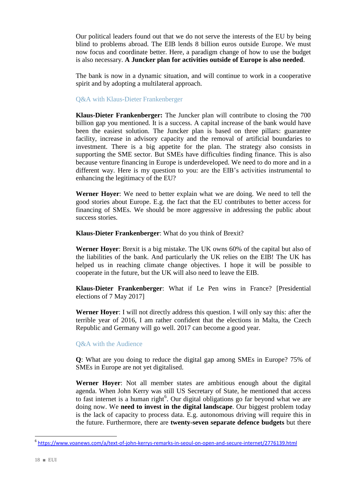Our political leaders found out that we do not serve the interests of the EU by being blind to problems abroad. The EIB lends 8 billion euros outside Europe. We must now focus and coordinate better. Here, a paradigm change of how to use the budget is also necessary. **A Juncker plan for activities outside of Europe is also needed**.

The bank is now in a dynamic situation, and will continue to work in a cooperative spirit and by adopting a multilateral approach.

#### Q&A with Klaus-Dieter Frankenberger

**Klaus-Dieter Frankenberger:** The Juncker plan will contribute to closing the 700 billion gap you mentioned. It is a success. A capital increase of the bank would have been the easiest solution. The Juncker plan is based on three pillars: guarantee facility, increase in advisory capacity and the removal of artificial boundaries to investment. There is a big appetite for the plan. The strategy also consists in supporting the SME sector. But SMEs have difficulties finding finance. This is also because venture financing in Europe is underdeveloped. We need to do more and in a different way. Here is my question to you: are the EIB's activities instrumental to enhancing the legitimacy of the EU?

**Werner Hoyer**: We need to better explain what we are doing. We need to tell the good stories about Europe. E.g. the fact that the EU contributes to better access for financing of SMEs. We should be more aggressive in addressing the public about success stories.

**Klaus-Dieter Frankenberger**: What do you think of Brexit?

**Werner Hoyer**: Brexit is a big mistake. The UK owns 60% of the capital but also of the liabilities of the bank. And particularly the UK relies on the EIB! The UK has helped us in reaching climate change objectives. I hope it will be possible to cooperate in the future, but the UK will also need to leave the EIB.

**Klaus-Dieter Frankenberger**: What if Le Pen wins in France? [Presidential elections of 7 May 2017]

**Werner Hoyer**: I will not directly address this question. I will only say this: after the terrible year of 2016, I am rather confident that the elections in Malta, the Czech Republic and Germany will go well. 2017 can become a good year.

#### Q&A with the Audience

**Q**: What are you doing to reduce the digital gap among SMEs in Europe? 75% of SMEs in Europe are not yet digitalised.

**Werner Hoyer**: Not all member states are ambitious enough about the digital agenda. When John Kerry was still US Secretary of State, he mentioned that access to fast internet is a human right<sup>6</sup>. Our digital obligations go far beyond what we are doing now. We **need to invest in the digital landscape**. Our biggest problem today is the lack of capacity to process data. E.g. autonomous driving will require this in the future. Furthermore, there are **twenty-seven separate defence budgets** but there

<sup>&</sup>lt;sup>6</sup> <https://www.voanews.com/a/text-of-john-kerrys-remarks-in-seoul-on-open-and-secure-internet/2776139.html>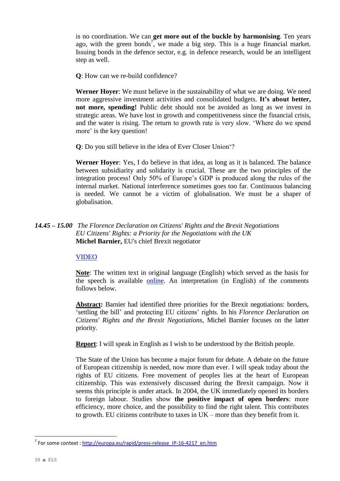is no coordination. We can **get more out of the buckle by harmonising**. Ten years ago, with the green bonds<sup>7</sup>, we made a big step. This is a huge financial market. Issuing bonds in the defence sector, e.g. in defence research, would be an intelligent step as well.

**Q**: How can we re-build confidence?

**Werner Hoyer**: We must believe in the sustainability of what we are doing. We need more aggressive investment activities and consolidated budgets. **It's about better, not more, spending!** Public debt should not be avoided as long as we invest in strategic areas. We have lost in growth and competitiveness since the financial crisis, and the water is rising. The return to growth rate is very slow. 'Where do we spend more' is the key question!

**Q**: Do you still believe in the idea of Ever Closer Union'?

**Werner Hoyer**: Yes, I do believe in that idea, as long as it is balanced. The balance between subsidiarity and solidarity is crucial. These are the two principles of the integration process! Only 50% of Europe's GDP is produced along the rules of the internal market. National interference sometimes goes too far. Continuous balancing is needed. We cannot be a victim of globalisation. We must be a shaper of globalisation.

# *14.45 – 15.00 The Florence Declaration on Citizens' Rights and the Brexit Negotiations EU Citizens' Rights: a Priority for the Negotiations with the UK* **Michel Barnier,** EU's chief Brexit negotiator

# [VIDEO](https://www.youtube.com/watch?v=057dR3uyWyw&feature=youtu.be&t=1312)

**Note**: The written text in original language (English) which served as the basis for the speech is available [online.](https://stateoftheunion.eui.eu/wp-content/uploads/sites/8/2017/05/Introduction-by-Michel-Barnier.pdf) An interpretation (in English) of the comments follows below.

Abstract: Barnier had identified three priorities for the Brexit negotiations: borders, 'settling the bill' and protecting EU citizens' rights. In his *Florence Declaration on Citizens' Rights and the Brexit Negotiations*, Michel Barnier focuses on the latter priority.

**Report:** I will speak in English as I wish to be understood by the British people.

The State of the Union has become a major forum for debate. A debate on the future of European citizenship is needed, now more than ever. I will speak today about the rights of EU citizens. Free movement of peoples lies at the heart of European citizenship. This was extensively discussed during the Brexit campaign. Now it seems this principle is under attack. In 2004, the UK immediately opened its borders to foreign labour. Studies show **the positive impact of open borders**: more efficiency, more choice, and the possibility to find the right talent. This contributes to growth. EU citizens contribute to taxes in UK – more than they benefit from it.

<sup>&</sup>lt;sup>7</sup> For some context : <u>http://europa.eu/rapid/press-release\_IP-16-4217\_en.htm</u>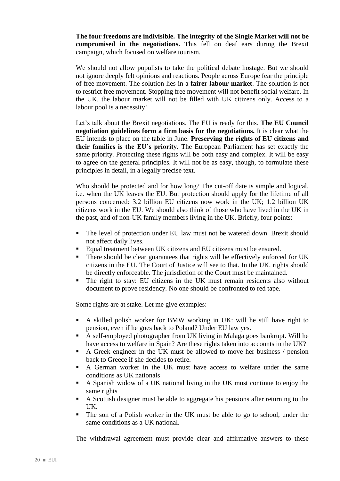**The four freedoms are indivisible. The integrity of the Single Market will not be compromised in the negotiations.** This fell on deaf ears during the Brexit campaign, which focused on welfare tourism.

We should not allow populists to take the political debate hostage. But we should not ignore deeply felt opinions and reactions. People across Europe fear the principle of free movement. The solution lies in a **fairer labour market**. The solution is not to restrict free movement. Stopping free movement will not benefit social welfare. In the UK, the labour market will not be filled with UK citizens only. Access to a labour pool is a necessity!

Let's talk about the Brexit negotiations. The EU is ready for this. **The EU Council negotiation guidelines form a firm basis for the negotiations.** It is clear what the EU intends to place on the table in June. **Preserving the rights of EU citizens and their families is the EU's priority.** The European Parliament has set exactly the same priority. Protecting these rights will be both easy and complex. It will be easy to agree on the general principles. It will not be as easy, though, to formulate these principles in detail, in a legally precise text.

Who should be protected and for how long? The cut-off date is simple and logical, i.e. when the UK leaves the EU. But protection should apply for the lifetime of all persons concerned: 3.2 billion EU citizens now work in the UK; 1.2 billion UK citizens work in the EU. We should also think of those who have lived in the UK in the past, and of non-UK family members living in the UK. Briefly, four points:

- The level of protection under EU law must not be watered down. Brexit should not affect daily lives.
- Equal treatment between UK citizens and EU citizens must be ensured.
- There should be clear guarantees that rights will be effectively enforced for UK citizens in the EU. The Court of Justice will see to that. In the UK, rights should be directly enforceable. The jurisdiction of the Court must be maintained.
- The right to stay: EU citizens in the UK must remain residents also without document to prove residency. No one should be confronted to red tape.

Some rights are at stake. Let me give examples:

- A skilled polish worker for BMW working in UK: will he still have right to pension, even if he goes back to Poland? Under EU law yes.
- A self-employed photographer from UK living in Malaga goes bankrupt. Will he have access to welfare in Spain? Are these rights taken into accounts in the UK?
- A Greek engineer in the UK must be allowed to move her business / pension back to Greece if she decides to retire.
- A German worker in the UK must have access to welfare under the same conditions as UK nationals
- A Spanish widow of a UK national living in the UK must continue to enjoy the same rights
- A Scottish designer must be able to aggregate his pensions after returning to the UK.
- The son of a Polish worker in the UK must be able to go to school, under the same conditions as a UK national.

The withdrawal agreement must provide clear and affirmative answers to these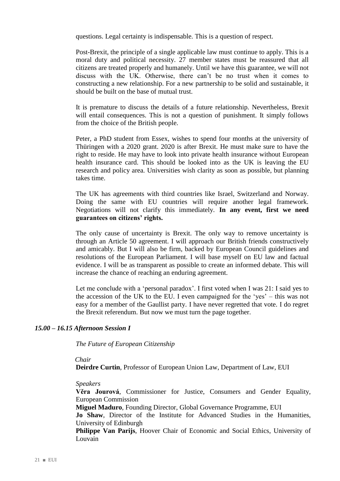questions. Legal certainty is indispensable. This is a question of respect.

Post-Brexit, the principle of a single applicable law must continue to apply. This is a moral duty and political necessity. 27 member states must be reassured that all citizens are treated properly and humanely. Until we have this guarantee, we will not discuss with the UK. Otherwise, there can't be no trust when it comes to constructing a new relationship. For a new partnership to be solid and sustainable, it should be built on the base of mutual trust.

It is premature to discuss the details of a future relationship. Nevertheless, Brexit will entail consequences. This is not a question of punishment. It simply follows from the choice of the British people.

Peter, a PhD student from Essex, wishes to spend four months at the university of Thüringen with a 2020 grant. 2020 is after Brexit. He must make sure to have the right to reside. He may have to look into private health insurance without European health insurance card. This should be looked into as the UK is leaving the EU research and policy area. Universities wish clarity as soon as possible, but planning takes time.

The UK has agreements with third countries like Israel, Switzerland and Norway. Doing the same with EU countries will require another legal framework. Negotiations will not clarify this immediately. **In any event, first we need guarantees on citizens' rights.** 

The only cause of uncertainty is Brexit. The only way to remove uncertainty is through an Article 50 agreement. I will approach our British friends constructively and amicably. But I will also be firm, backed by European Council guidelines and resolutions of the European Parliament. I will base myself on EU law and factual evidence. I will be as transparent as possible to create an informed debate. This will increase the chance of reaching an enduring agreement.

Let me conclude with a 'personal paradox'. I first voted when I was 21: I said yes to the accession of the UK to the EU. I even campaigned for the 'yes' – this was not easy for a member of the Gaullist party. I have never regretted that vote. I do regret the Brexit referendum. But now we must turn the page together.

#### *15.00 – 16.15 Afternoon Session I*

*The Future of European Citizenship*

#### *Chair*

**Deirdre Curtin**, Professor of European Union Law, Department of Law, EUI

#### *Speakers*

**Věra Jourová**, Commissioner for Justice, Consumers and Gender Equality, European Commission

**Miguel Maduro**, Founding Director, Global Governance Programme, EUI

**Jo Shaw**, Director of the Institute for Advanced Studies in the Humanities, University of Edinburgh

**Philippe Van Parijs**, Hoover Chair of Economic and Social Ethics, University of Louvain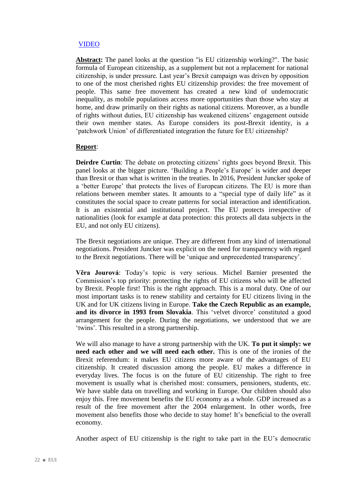## [VIDEO](https://www.youtube.com/watch?v=057dR3uyWyw&feature=youtu.be&t=2817)

**Abstract:** The panel looks at the question "is EU citizenship working?". The basic formula of European citizenship, as a supplement but not a replacement for national citizenship, is under pressure. Last year's Brexit campaign was driven by opposition to one of the most cherished rights EU citizenship provides: the free movement of people. This same free movement has created a new kind of undemocratic inequality, as mobile populations access more opportunities than those who stay at home, and draw primarily on their rights as national citizens. Moreover, as a bundle of rights without duties, EU citizenship has weakened citizens' engagement outside their own member states. As Europe considers its post**-**Brexit identity, is a 'patchwork Union' of differentiated integration the future for EU citizenship?

#### **Report**:

**Deirdre Curtin:** The debate on protecting citizens' rights goes beyond Brexit. This panel looks at the bigger picture. 'Building a People's Europe' is wider and deeper than Brexit or than what is written in the treaties. In 2016, President Juncker spoke of a 'better Europe' that protects the lives of European citizens. The EU is more than relations between member states. It amounts to a "special type of daily life" as it constitutes the social space to create patterns for social interaction and identification. It is an existential and institutional project. The EU protects irrespective of nationalities (look for example at data protection: this protects all data subjects in the EU, and not only EU citizens).

The Brexit negotiations are unique. They are different from any kind of international negotiations. President Juncker was explicit on the need for transparency with regard to the Brexit negotiations. There will be 'unique and unprecedented transparency'.

**Věra Jourová**: Today's topic is very serious. Michel Barnier presented the Commission's top priority: protecting the rights of EU citizens who will be affected by Brexit. People first! This is the right approach. This is a moral duty. One of our most important tasks is to renew stability and certainty for EU citizens living in the UK and for UK citizens living in Europe. **Take the Czech Republic as an example, and its divorce in 1993 from Slovakia**. This 'velvet divorce' constituted a good arrangement for the people. During the negotiations, we understood that we are 'twins'. This resulted in a strong partnership.

We will also manage to have a strong partnership with the UK. **To put it simply: we need each other and we will need each other.** This is one of the ironies of the Brexit referendum: it makes EU citizens more aware of the advantages of EU citizenship. It created discussion among the people. EU makes a difference in everyday lives. The focus is on the future of EU citizenship. The right to free movement is usually what is cherished most: consumers, pensioners, students, etc. We have stable data on travelling and working in Europe. Our children should also enjoy this. Free movement benefits the EU economy as a whole. GDP increased as a result of the free movement after the 2004 enlargement. In other words, free movement also benefits those who decide to stay home! It's beneficial to the overall economy.

Another aspect of EU citizenship is the right to take part in the EU's democratic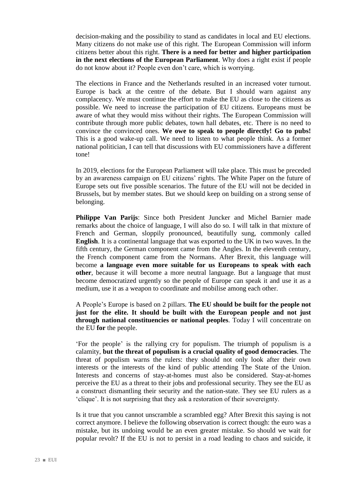decision-making and the possibility to stand as candidates in local and EU elections. Many citizens do not make use of this right. The European Commission will inform citizens better about this right. **There is a need for better and higher participation in the next elections of the European Parliament**. Why does a right exist if people do not know about it? People even don't care, which is worrying.

The elections in France and the Netherlands resulted in an increased voter turnout. Europe is back at the centre of the debate. But I should warn against any complacency. We must continue the effort to make the EU as close to the citizens as possible. We need to increase the participation of EU citizens. Europeans must be aware of what they would miss without their rights. The European Commission will contribute through more public debates, town hall debates, etc. There is no need to convince the convinced ones. **We owe to speak to people directly! Go to pubs!** This is a good wake-up call. We need to listen to what people think. As a former national politician, I can tell that discussions with EU commissioners have a different tone!

In 2019, elections for the European Parliament will take place. This must be preceded by an awareness campaign on EU citizens' rights. The White Paper on the future of Europe sets out five possible scenarios. The future of the EU will not be decided in Brussels, but by member states. But we should keep on building on a strong sense of belonging.

**Philippe Van Parijs**: Since both President Juncker and Michel Barnier made remarks about the choice of language, I will also do so. I will talk in that mixture of French and German, sloppily pronounced, beautifully sung, commonly called **English**. It is a continental language that was exported to the UK in two waves. In the fifth century, the German component came from the Angles. In the eleventh century, the French component came from the Normans. After Brexit, this language will become **a language even more suitable for us Europeans to speak with each other**, because it will become a more neutral language. But a language that must become democratized urgently so the people of Europe can speak it and use it as a medium, use it as a weapon to coordinate and mobilise among each other.

A People's Europe is based on 2 pillars. **The EU should be built for the people not just for the elite. It should be built with the European people and not just through national constituencies or national peoples**. Today I will concentrate on the EU **for** the people.

'For the people' is the rallying cry for populism. The triumph of populism is a calamity, **but the threat of populism is a crucial quality of good democracies**. The threat of populism warns the rulers: they should not only look after their own interests or the interests of the kind of public attending The State of the Union. Interests and concerns of stay-at-homes must also be considered. Stay-at-homes perceive the EU as a threat to their jobs and professional security. They see the EU as a construct dismantling their security and the nation-state. They see EU rulers as a 'clique'. It is not surprising that they ask a restoration of their sovereignty.

Is it true that you cannot unscramble a scrambled egg? After Brexit this saying is not correct anymore. I believe the following observation is correct though: the euro was a mistake, but its undoing would be an even greater mistake. So should we wait for popular revolt? If the EU is not to persist in a road leading to chaos and suicide, it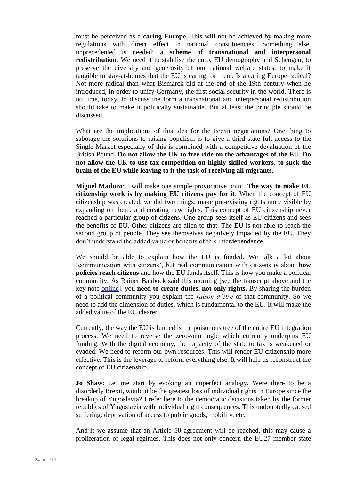must be perceived as a **caring Europe**. This will not be achieved by making more regulations with direct effect in national constituencies. Something else, unprecedented is needed: **a scheme of transnational and interpersonal redistribution**. We need it to stabilise the euro, EU demography and Schengen; to preserve the diversity and generosity of our national welfare states; to make it tangible to stay-at-homes that the EU is caring for them. Is a caring Europe radical? Not more radical than what Bismarck did at the end of the 19th century when he introduced, in order to unify Germany, the first social security in the world. There is no time, today, to discuss the form a transnational and interpersonal redistribution should take to make it politically sustainable. But at least the principle should be discussed.

What are the implications of this idea for the Brexit negotiations? One thing to sabotage the solutions to raising populism is to give a third state full access to the Single Market especially of this is combined with a competitive devaluation of the British Pound. **Do not allow the UK to free-ride on the advantages of the EU. Do not allow the UK to use tax competition on highly skilled workers, to suck the brain of the EU while leaving to it the task of receiving all migrants.**

**Miguel Maduro**: I will make one simple provocative point. **The way to make EU citizenship work is by making EU citizens pay for it**. When the concept of EU citizenship was created, we did two things: make pre-existing rights more visible by expanding on them, and creating new rights. This concept of EU citizenship never reached a particular group of citizens. One group sees itself as EU citizens and sees the benefits of EU. Other citizens are alien to that. The EU is not able to reach the second group of people. They see themselves negatively impacted by the EU. They don't understand the added value or benefits of this interdependence.

We should be able to explain how the EU is funded. We talk a lot about 'communication with citizens', but real communication with citizens is about **how policies reach citizens** and how the EU funds itself. This is how you make a political community. As Rainer Baubock said this morning [see the transcript above and the key note [online\]](https://stateoftheunion.eui.eu/wp-content/uploads/sites/8/2017/05/The-State-of-the-Union-Address-by-Rainer-Baub%C3%B6ck.pdf), you **need to create duties, not only rights**. By sharing the burden of a political community you explain the *raison d'être* of that community. So we need to add the dimension of duties, which is fundamental to the EU. It will make the added value of the EU clearer.

Currently, the way the EU is funded is the poisonous tree of the entire EU integration process. We need to reverse the zero-sum logic which currently underpins EU funding. With the digital economy, the capacity of the state to tax is weakened or evaded. We need to reform our own resources. This will render EU citizenship more effective. This is the leverage to reform everything else. It will help us reconstruct the concept of EU citizenship.

**Jo Shaw**: Let me start by evoking an imperfect analogy. Were there to be a disorderly Brexit, would it be the greatest loss of individual rights in Europe since the breakup of Yugoslavia? I refer here to the democratic decisions taken by the former republics of Yugoslavia with individual right consequences. This undoubtedly caused suffering: deprivation of access to public goods, mobility, etc.

And if we assume that an Article 50 agreement will be reached, this may cause a proliferation of legal regimes. This does not only concern the EU27 member state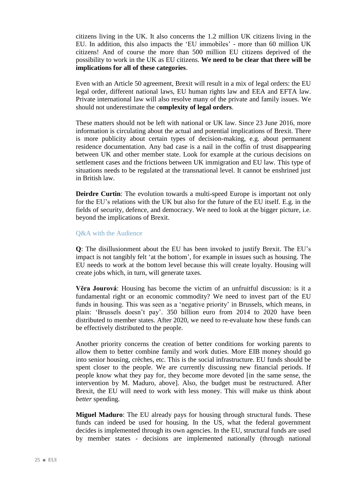citizens living in the UK. It also concerns the 1.2 million UK citizens living in the EU. In addition, this also impacts the 'EU immobiles' - more than 60 million UK citizens! And of course the more than 500 million EU citizens deprived of the possibility to work in the UK as EU citizens. **We need to be clear that there will be implications for all of these categories**.

Even with an Article 50 agreement, Brexit will result in a mix of legal orders: the EU legal order, different national laws, EU human rights law and EEA and EFTA law. Private international law will also resolve many of the private and family issues. We should not underestimate the c**omplexity of legal orders**.

These matters should not be left with national or UK law. Since 23 June 2016, more information is circulating about the actual and potential implications of Brexit. There is more publicity about certain types of decision-making, e.g. about permanent residence documentation. Any bad case is a nail in the coffin of trust disappearing between UK and other member state. Look for example at the curious decisions on settlement cases and the frictions between UK immigration and EU law. This type of situations needs to be regulated at the transnational level. It cannot be enshrined just in British law.

**Deirdre Curtin**: The evolution towards a multi-speed Europe is important not only for the EU's relations with the UK but also for the future of the EU itself. E.g. in the fields of security, defence, and democracy. We need to look at the bigger picture, i.e. beyond the implications of Brexit.

#### Q&A with the Audience

**Q**: The disillusionment about the EU has been invoked to justify Brexit. The EU's impact is not tangibly felt 'at the bottom', for example in issues such as housing. The EU needs to work at the bottom level because this will create loyalty. Housing will create jobs which, in turn, will generate taxes.

**Věra Jourová**: Housing has become the victim of an unfruitful discussion: is it a fundamental right or an economic commodity? We need to invest part of the EU funds in housing. This was seen as a 'negative priority' in Brussels, which means, in plain: 'Brussels doesn't pay'. 350 billion euro from 2014 to 2020 have been distributed to member states. After 2020, we need to re-evaluate how these funds can be effectively distributed to the people.

Another priority concerns the creation of better conditions for working parents to allow them to better combine family and work duties. More EIB money should go into senior housing, crèches, etc. This is the social infrastructure. EU funds should be spent closer to the people. We are currently discussing new financial periods. If people know what they pay for, they become more devoted [in the same sense, the intervention by M. Maduro, above]. Also, the budget must be restructured. After Brexit, the EU will need to work with less money. This will make us think about *better* spending.

**Miguel Maduro**: The EU already pays for housing through structural funds. These funds can indeed be used for housing. In the US, what the federal government decides is implemented through its own agencies. In the EU, structural funds are used by member states - decisions are implemented nationally (through national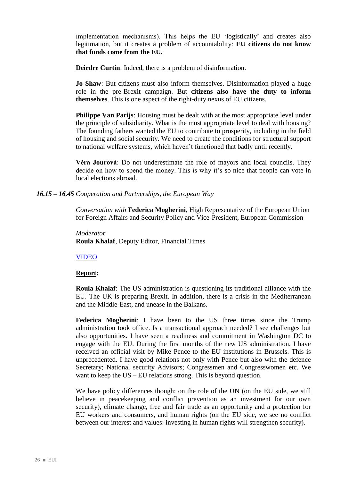implementation mechanisms). This helps the EU 'logistically' and creates also legitimation, but it creates a problem of accountability: **EU citizens do not know that funds come from the EU.** 

**Deirdre Curtin**: Indeed, there is a problem of disinformation.

**Jo Shaw**: But citizens must also inform themselves. Disinformation played a huge role in the pre-Brexit campaign. But **citizens also have the duty to inform themselves**. This is one aspect of the right-duty nexus of EU citizens.

**Philippe Van Parijs**: Housing must be dealt with at the most appropriate level under the principle of subsidiarity. What is the most appropriate level to deal with housing? The founding fathers wanted the EU to contribute to prosperity, including in the field of housing and social security. We need to create the conditions for structural support to national welfare systems, which haven't functioned that badly until recently.

**Věra Jourová**: Do not underestimate the role of mayors and local councils. They decide on how to spend the money. This is why it's so nice that people can vote in local elections abroad.

#### *16.15 – 16.45 Cooperation and Partnerships, the European Way*

*Conversation with* **Federica Mogherini**, High Representative of the European Union for Foreign Affairs and Security Policy and Vice-President, European Commission

*Moderator* **Roula Khalaf**, Deputy Editor, Financial Times

#### [VIDEO](https://www.youtube.com/watch?v=057dR3uyWyw&feature=youtu.be&t=6406)

#### **Report:**

**Roula Khalaf**: The US administration is questioning its traditional alliance with the EU. The UK is preparing Brexit. In addition, there is a crisis in the Mediterranean and the Middle-East, and unease in the Balkans.

**Federica Mogherini**: I have been to the US three times since the Trump administration took office. Is a transactional approach needed? I see challenges but also opportunities. I have seen a readiness and commitment in Washington DC to engage with the EU. During the first months of the new US administration, I have received an official visit by Mike Pence to the EU institutions in Brussels. This is unprecedented. I have good relations not only with Pence but also with the defence Secretary; National security Advisors; Congressmen and Congresswomen etc. We want to keep the US – EU relations strong. This is beyond question.

We have policy differences though: on the role of the UN (on the EU side, we still believe in peacekeeping and conflict prevention as an investment for our own security), climate change, free and fair trade as an opportunity and a protection for EU workers and consumers, and human rights (on the EU side, we see no conflict between our interest and values: investing in human rights will strengthen security).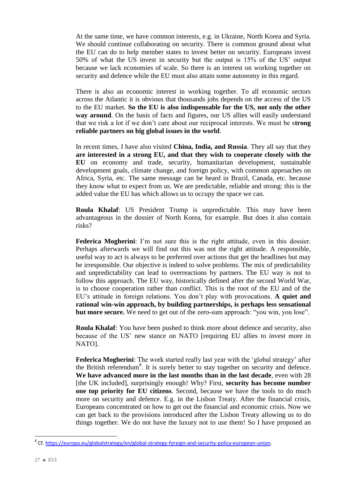At the same time, we have common interests, e.g. in Ukraine, North Korea and Syria. We should continue collaborating on security. There is common ground about what the EU can do to help member states to invest better on security. Europeans invest 50% of what the US invest in security but the output is 15% of the US' output because we lack economies of scale. So there is an interest on working together on security and defence while the EU must also attain some autonomy in this regard.

There is also an economic interest in working together. To all economic sectors across the Atlantic it is obvious that thousands jobs depends on the access of the US to the EU market. **So the EU is also indispensable for the US, not only the other way around**. On the basis of facts and figures, our US allies will easily understand that we risk a lot if we don't care about our reciprocal interests. We must be s**trong reliable partners on big global issues in the world**.

In recent times, I have also visited **China, India, and Russia**. They all say that they **are interested in a strong EU, and that they wish to cooperate closely with the EU** on economy and trade, security, humanitarian development, sustainable development goals, climate change, and foreign policy, with common approaches on Africa, Syria, etc. The same message can be heard in Brazil, Canada, etc. because they know what to expect from us. We are predictable, reliable and strong: this is the added value the EU has which allows us to occupy the space we can.

**Roula Khalaf**: US President Trump is unpredictable. This may have been advantageous in the dossier of North Korea, for example. But does it also contain risks?

**Federica Mogherini:** I'm not sure this is the right attitude, even in this dossier. Perhaps afterwards we will find out this was not the right attitude. A responsible, useful way to act is always to be preferred over actions that get the headlines but may be irresponsible. Our objective is indeed to solve problems. The mix of predictability and unpredictability can lead to overreactions by partners. The EU way is not to follow this approach. The EU way, historically defined after the second World War, is to choose cooperation rather than conflict. This is the root of the EU and of the EU's attitude in foreign relations. You don't play with provocations. **A quiet and rational win-win approach, by building partnerships, is perhaps less sensational but more secure.** We need to get out of the zero-sum approach: "you win, you lose".

**Roula Khalaf**: You have been pushed to think more about defence and security, also because of the US' new stance on NATO [requiring EU allies to invest more in NATO].

**Federica Mogherini**: The work started really last year with the 'global strategy' after the British referendum<sup>8</sup>. It is surely better to stay together on security and defence. **We have advanced more in the last months than in the last decade**, even with 28 [the UK included], surprisingly enough! Why? First, **security has become number one top priority for EU citizens**. Second, because we have the tools to do much more on security and defence. E.g. in the Lisbon Treaty. After the financial crisis, Europeans concentrated on how to get out the financial and economic crisis. Now we can get back to the provisions introduced after the Lisbon Treaty allowing us to do things together. We do not have the luxury not to use them! So I have proposed an

<sup>&</sup>lt;sup>8</sup> Cf. https://europa.eu/globalstrategy/en/global-strategy-foreign-and-security-policy-european-union.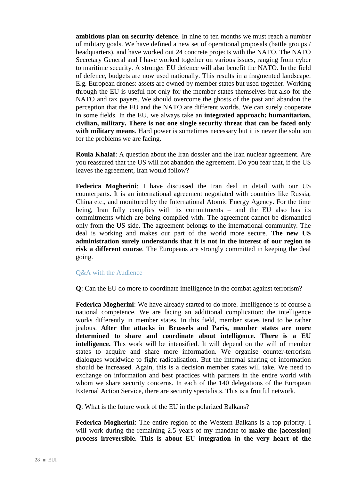**ambitious plan on security defence**. In nine to ten months we must reach a number of military goals. We have defined a new set of operational proposals (battle groups / headquarters), and have worked out 24 concrete projects with the NATO. The NATO Secretary General and I have worked together on various issues, ranging from cyber to maritime security. A stronger EU defence will also benefit the NATO. In the field of defence, budgets are now used nationally. This results in a fragmented landscape. E.g. European drones: assets are owned by member states but used together. Working through the EU is useful not only for the member states themselves but also for the NATO and tax payers. We should overcome the ghosts of the past and abandon the perception that the EU and the NATO are different worlds. We can surely cooperate in some fields. In the EU, we always take an **integrated approach: humanitarian, civilian, military. There is not one single security threat that can be faced only with military means**. Hard power is sometimes necessary but it is never the solution for the problems we are facing.

**Roula Khalaf**: A question about the Iran dossier and the Iran nuclear agreement. Are you reassured that the US will not abandon the agreement. Do you fear that, if the US leaves the agreement, Iran would follow?

**Federica Mogherini**: I have discussed the Iran deal in detail with our US counterparts. It is an international agreement negotiated with countries like Russia, China etc., and monitored by the International Atomic Energy Agency. For the time being, Iran fully complies with its commitments – and the EU also has its commitments which are being complied with. The agreement cannot be dismantled only from the US side. The agreement belongs to the international community. The deal is working and makes our part of the world more secure. **The new US administration surely understands that it is not in the interest of our region to risk a different course**. The Europeans are strongly committed in keeping the deal going.

#### Q&A with the Audience

**Q**: Can the EU do more to coordinate intelligence in the combat against terrorism?

**Federica Mogherini:** We have already started to do more. Intelligence is of course a national competence. We are facing an additional complication: the intelligence works differently in member states. In this field, member states tend to be rather jealous. **After the attacks in Brussels and Paris, member states are more determined to share and coordinate about intelligence. There is a EU intelligence.** This work will be intensified. It will depend on the will of member states to acquire and share more information. We organise counter-terrorism dialogues worldwide to fight radicalisation. But the internal sharing of information should be increased. Again, this is a decision member states will take. We need to exchange on information and best practices with partners in the entire world with whom we share security concerns. In each of the 140 delegations of the European External Action Service, there are security specialists. This is a fruitful network.

**Q**: What is the future work of the EU in the polarized Balkans?

**Federica Mogherini**: The entire region of the Western Balkans is a top priority. I will work during the remaining 2.5 years of my mandate to **make the [accession] process irreversible. This is about EU integration in the very heart of the**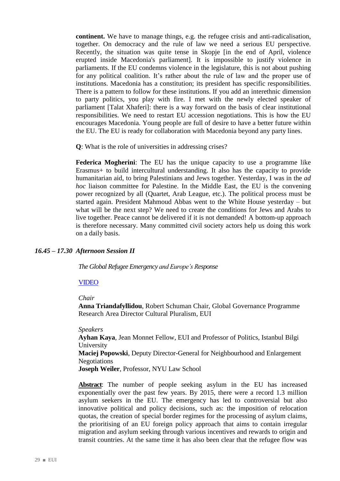**continent.** We have to manage things, e.g. the refugee crisis and anti-radicalisation, together. On democracy and the rule of law we need a serious EU perspective. Recently, the situation was quite tense in Skopje [in the end of April, violence erupted inside Macedonia's parliament]. It is impossible to justify violence in parliaments. If the EU condemns violence in the legislature, this is not about pushing for any political coalition. It's rather about the rule of law and the proper use of institutions. Macedonia has a constitution; its president has specific responsibilities. There is a pattern to follow for these institutions. If you add an interethnic dimension to party politics, you play with fire. I met with the newly elected speaker of parliament [Talat Xhaferi]: there is a way forward on the basis of clear institutional responsibilities. We need to restart EU accession negotiations. This is how the EU encourages Macedonia. Young people are full of desire to have a better future within the EU. The EU is ready for collaboration with Macedonia beyond any party lines.

**Q**: What is the role of universities in addressing crises?

**Federica Mogherini**: The EU has the unique capacity to use a programme like Erasmus+ to build intercultural understanding. It also has the capacity to provide humanitarian aid, to bring Palestinians and Jews together. Yesterday, I was in the *ad hoc* liaison committee for Palestine. In the Middle East, the EU is the convening power recognized by all (Quartet, Arab League, etc.). The political process must be started again. President Mahmoud Abbas went to the White House yesterday – but what will be the next step? We need to create the conditions for Jews and Arabs to live together. Peace cannot be delivered if it is not demanded! A bottom-up approach is therefore necessary. Many committed civil society actors help us doing this work on a daily basis.

#### *16.45 – 17.30 Afternoon Session II*

*The Global Refugee Emergency and Europe's Response* 

#### [VIDEO](https://www.youtube.com/watch?v=057dR3uyWyw&feature=youtu.be&t=8836)

#### *Chair*

**Anna Triandafyllidou**, Robert Schuman Chair, Global Governance Programme Research Area Director Cultural Pluralism, EUI

#### *Speakers*

**Ayhan Kaya**, Jean Monnet Fellow, EUI and Professor of Politics, Istanbul Bilgi University

**Maciej Popowski**, Deputy Director-General for Neighbourhood and Enlargement Negotiations

**Joseph Weiler**, Professor, NYU Law School

**Abstract**: The number of people seeking asylum in the EU has increased exponentially over the past few years. By 2015, there were a record 1.3 million asylum seekers in the EU. The emergency has led to controversial but also innovative political and policy decisions, such as: the imposition of relocation quotas, the creation of special border regimes for the processing of asylum claims, the prioritising of an EU foreign policy approach that aims to contain irregular migration and asylum seeking through various incentives and rewards to origin and transit countries. At the same time it has also been clear that the refugee flow was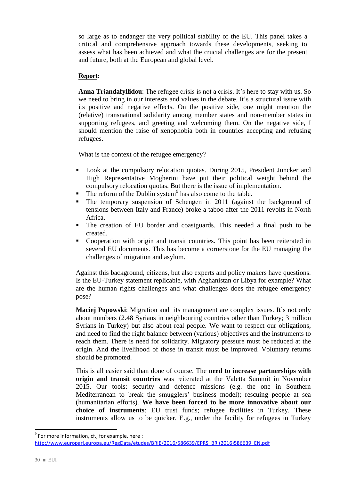so large as to endanger the very political stability of the EU. This panel takes a critical and comprehensive approach towards these developments, seeking to assess what has been achieved and what the crucial challenges are for the present and future, both at the European and global level.

# **Report:**

**Anna Triandafyllidou**: The refugee crisis is not a crisis. It's here to stay with us. So we need to bring in our interests and values in the debate. It's a structural issue with its positive and negative effects. On the positive side, one might mention the (relative) transnational solidarity among member states and non-member states in supporting refugees, and greeting and welcoming them. On the negative side, I should mention the raise of xenophobia both in countries accepting and refusing refugees.

What is the context of the refugee emergency?

- Look at the compulsory relocation quotas. During 2015, President Juncker and High Representative Mogherini have put their political weight behind the compulsory relocation quotas. But there is the issue of implementation.
- $\blacksquare$  The reform of the Dublin system<sup>9</sup> has also come to the table.
- The temporary suspension of Schengen in 2011 (against the background of tensions between Italy and France) broke a taboo after the 2011 revolts in North Africa.
- The creation of EU border and coastguards. This needed a final push to be created.
- Cooperation with origin and transit countries. This point has been reiterated in several EU documents. This has become a cornerstone for the EU managing the challenges of migration and asylum.

Against this background, citizens, but also experts and policy makers have questions. Is the EU-Turkey statement replicable, with Afghanistan or Libya for example? What are the human rights challenges and what challenges does the refugee emergency pose?

**Maciej Popowski:** Migration and its management are complex issues. It's not only about numbers (2.48 Syrians in neighbouring countries other than Turkey; 3 million Syrians in Turkey) but also about real people. We want to respect our obligations, and need to find the right balance between (various) objectives and the instruments to reach them. There is need for solidarity. Migratory pressure must be reduced at the origin. And the livelihood of those in transit must be improved. Voluntary returns should be promoted.

This is all easier said than done of course. The **need to increase partnerships with origin and transit countries** was reiterated at the Valetta Summit in November 2015. Our tools: security and defence missions (e.g. the one in Southern Mediterranean to break the smugglers' business model); rescuing people at sea (humanitarian efforts). **We have been forced to be more innovative about our choice of instruments**: EU trust funds; refugee facilities in Turkey. These instruments allow us to be quicker. E.g., under the facility for refugees in Turkey

 $9^9$  For more information, cf., for example, here :

[http://www.europarl.europa.eu/RegData/etudes/BRIE/2016/586639/EPRS\\_BRI\(2016\)586639\\_EN.pdf](http://www.europarl.europa.eu/RegData/etudes/BRIE/2016/586639/EPRS_BRI(2016)586639_EN.pdf)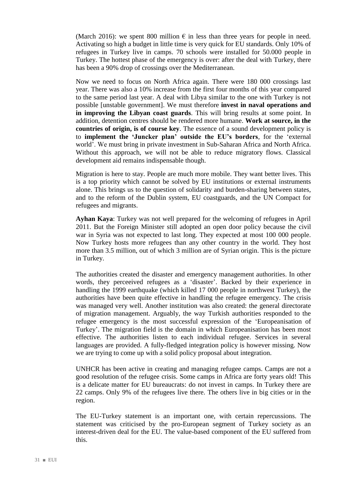(March 2016): we spent 800 million  $\epsilon$  in less than three years for people in need. Activating so high a budget in little time is very quick for EU standards. Only 10% of refugees in Turkey live in camps. 70 schools were installed for 50.000 people in Turkey. The hottest phase of the emergency is over: after the deal with Turkey, there has been a 90% drop of crossings over the Mediterranean.

Now we need to focus on North Africa again. There were 180 000 crossings last year. There was also a 10% increase from the first four months of this year compared to the same period last year. A deal with Libya similar to the one with Turkey is not possible [unstable government]. We must therefore **invest in naval operations and in improving the Libyan coast guards**. This will bring results at some point. In addition, detention centres should be rendered more humane. **Work at source, in the countries of origin, is of course key**. The essence of a sound development policy is to **implement the 'Juncker plan' outside the EU's borders**, for the 'external world'. We must bring in private investment in Sub-Saharan Africa and North Africa. Without this approach, we will not be able to reduce migratory flows. Classical development aid remains indispensable though.

Migration is here to stay. People are much more mobile. They want better lives. This is a top priority which cannot be solved by EU institutions or external instruments alone. This brings us to the question of solidarity and burden-sharing between states, and to the reform of the Dublin system, EU coastguards, and the UN Compact for refugees and migrants.

**Ayhan Kaya**: Turkey was not well prepared for the welcoming of refugees in April 2011. But the Foreign Minister still adopted an open door policy because the civil war in Syria was not expected to last long. They expected at most 100 000 people. Now Turkey hosts more refugees than any other country in the world. They host more than 3.5 million, out of which 3 million are of Syrian origin. This is the picture in Turkey.

The authorities created the disaster and emergency management authorities. In other words, they perceeived refugees as a 'disaster'. Backed by their experience in handling the 1999 earthquake (which killed 17 000 people in northwest Turkey), the authorities have been quite effective in handling the refugee emergency. The crisis was managed very well. Another institution was also created: the general directorate of migration management. Arguably, the way Turkish authorities responded to the refugee emergency is the most successful expression of the 'Europeanisation of Turkey'. The migration field is the domain in which Europeanisation has been most effective. The authorities listen to each individual refugee. Services in several languages are provided. A fully-fledged integration policy is however missing. Now we are trying to come up with a solid policy proposal about integration.

UNHCR has been active in creating and managing refugee camps. Camps are not a good resolution of the refugee crisis. Some camps in Africa are forty years old! This is a delicate matter for EU bureaucrats: do not invest in camps. In Turkey there are 22 camps. Only 9% of the refugees live there. The others live in big cities or in the region.

The EU-Turkey statement is an important one, with certain repercussions. The statement was criticised by the pro-European segment of Turkey society as an interest-driven deal for the EU. The value-based component of the EU suffered from this.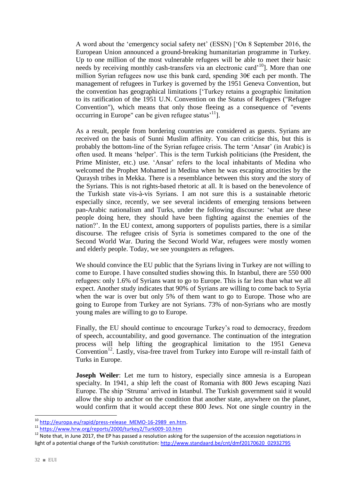A word about the 'emergency social safety net' (ESSN) ['On 8 September 2016, the European Union announced a ground-breaking humanitarian programme in Turkey. Up to one million of the most vulnerable refugees will be able to meet their basic needs by receiving monthly cash-transfers via an electronic card<sup>'10</sup>]. More than one million Syrian refugees now use this bank card, spending 30€ each per month. The management of refugees in Turkey is governed by the 1951 Geneva Convention, but the convention has geographical limitations ['Turkey retains a geographic limitation to its ratification of the 1951 U.N. Convention on the Status of Refugees ("Refugee Convention"), which means that only those fleeing as a consequence of "events occurring in Europe" can be given refugee status<sup> $11$ </sup>.

As a result, people from bordering countries are considered as guests. Syrians are received on the basis of Sunni Muslim affinity. You can criticise this, but this is probably the bottom-line of the Syrian refugee crisis. The term 'Ansar' (in Arabic) is often used. It means 'helper'. This is the term Turkish politicians (the President, the Prime Minister, etc.) use. 'Ansar' refers to the local inhabitants of Medina who welcomed the Prophet Mohamed in Medina when he was escaping atrocities by the Quraysh tribes in Mekka. There is a resemblance between this story and the story of the Syrians. This is not rights-based rhetoric at all. It is based on the benevolence of the Turkish state vis-à-vis Syrians. I am not sure this is a sustainable rhetoric especially since, recently, we see several incidents of emerging tensions between pan-Arabic nationalism and Turks, under the following discourse: 'what are these people doing here, they should have been fighting against the enemies of the nation?'. In the EU context, among supporters of populists parties, there is a similar discourse. The refugee crisis of Syria is sometimes compared to the one of the Second World War. During the Second World War, refugees were mostly women and elderly people. Today, we see youngsters as refugees.

We should convince the EU public that the Syrians living in Turkey are not willing to come to Europe. I have consulted studies showing this. In Istanbul, there are 550 000 refugees: only 1.6% of Syrians want to go to Europe. This is far less than what we all expect. Another study indicates that 90% of Syrians are willing to come back to Syria when the war is over but only 5% of them want to go to Europe. Those who are going to Europe from Turkey are not Syrians. 73% of non-Syrians who are mostly young males are willing to go to Europe.

Finally, the EU should continue to encourage Turkey's road to democracy, freedom of speech, accountability, and good governance. The continuation of the integration process will help lifting the geographical limitation to the 1951 Geneva Convention<sup>12</sup>. Lastly, visa-free travel from Turkey into Europe will re-install faith of Turks in Europe.

**Joseph Weiler**: Let me turn to history, especially since amnesia is a European specialty. In 1941, a ship left the coast of Romania with 800 Jews escaping Nazi Europe. The ship 'Struma' arrived in Istanbul. The Turkish government said it would allow the ship to anchor on the condition that another state, anywhere on the planet, would confirm that it would accept these 800 Jews. Not one single country in the

<sup>&</sup>lt;sup>10</sup> http://europa.eu/rapid/press-release\_MEMO-16-2989\_en.htm.

<sup>11</sup> <https://www.hrw.org/reports/2000/turkey2/Turk009-10.htm>

 $12$  Note that, in June 2017, the EP has passed a resolution asking for the suspension of the accession negotiations in light of a potential change of the Turkish constitution[: http://www.standaard.be/cnt/dmf20170620\\_02932795](http://www.standaard.be/cnt/dmf20170620_02932795)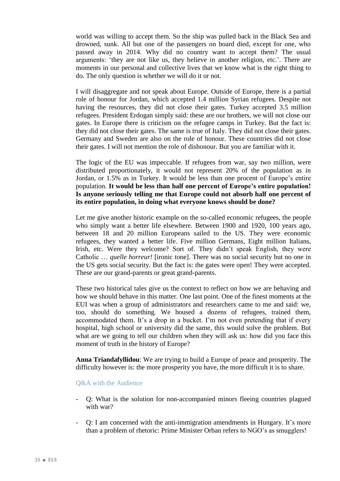world was willing to accept them. So the ship was pulled back in the Black Sea and drowned, sunk. All but one of the passengers on board died, except for one, who passed away in 2014. Why did no country want to accept them? The usual arguments: 'they are not like us, they believe in another religion, etc.'. There are moments in our personal and collective lives that we know what is the right thing to do. The only question is whether we will do it or not.

I will disaggregate and not speak about Europe. Outside of Europe, there is a partial role of honour for Jordan, which accepted 1.4 million Syrian refugees. Despite not having the resources, they did not close their gates. Turkey accepted 3.5 million refugees. President Erdogan simply said: these are our brothers, we will not close our gates. In Europe there is criticism on the refugee camps in Turkey. But the fact is: they did not close their gates. The same is true of Italy. They did not close their gates. Germany and Sweden are also on the role of honour. These countries did not close their gates. I will not mention the role of dishonour. But you are familiar with it.

The logic of the EU was impeccable. If refugees from war, say two million, were distributed proportionately, it would not represent 20% of the population as in Jordan, or 1.5% as in Turkey. It would be less than one procent of Europe's entire population. **It would be less than half one percent of Europe's entire population! Is anyone seriously telling me that Europe could not absorb half one percent of its entire population, in doing what everyone knows should be done?**

Let me give another historic example on the so-called economic refugees, the people who simply want a better life elsewhere. Between 1900 and 1920, 100 years ago, between 18 and 20 million Europeans sailed to the US. They were economic refugees, they wanted a better life. Five million Germans, Eight million Italians, Irish, etc. Were they welcome? Sort of. They didn't speak English, they were Catholic … *quelle horreur!* [ironic tone]. There was no social security but no one in the US gets social security. But the fact is: the gates were open! They were accepted. These are our grand-parents or great grand-parents.

These two historical tales give us the context to reflect on how we are behaving and how we should behave in this matter. One last point. One of the finest moments at the EUI was when a group of administrators and researchers came to me and said: we, too, should do something. We housed a dozens of refugees, trained them, accommodated them. It's a drop in a bucket. I'm not even pretending that if every hospital, high school or university did the same, this would solve the problem. But what are we going to tell our children when they will ask us: how did you face this moment of truth in the history of Europe?

**Anna Triandafyllidou**: We are trying to build a Europe of peace and prosperity. The difficulty however is: the more prosperity you have, the more difficult it is to share.

#### Q&A with the Audience

- Q: What is the solution for non-accompanied minors fleeing countries plagued with war?
- Q: I am concerned with the anti-immigration amendments in Hungary. It's more than a problem of rhetoric: Prime Minister Orban refers to NGO's as smugglers!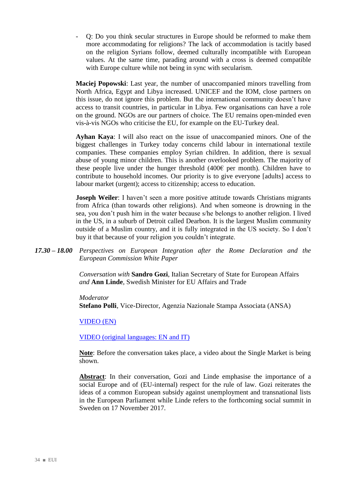- Q: Do you think secular structures in Europe should be reformed to make them more accommodating for religions? The lack of accommodation is tacitly based on the religion Syrians follow, deemed culturally incompatible with European values. At the same time, parading around with a cross is deemed compatible with Europe culture while not being in sync with secularism.

**Maciej Popowski**: Last year, the number of unaccompanied minors travelling from North Africa, Egypt and Libya increased. UNICEF and the IOM, close partners on this issue, do not ignore this problem. But the international community doesn't have access to transit countries, in particular in Libya. Few organisations can have a role on the ground. NGOs are our partners of choice. The EU remains open-minded even vis-à-vis NGOs who criticise the EU, for example on the EU-Turkey deal.

**Ayhan Kaya**: I will also react on the issue of unaccompanied minors. One of the biggest challenges in Turkey today concerns child labour in international textile companies. These companies employ Syrian children. In addition, there is sexual abuse of young minor children. This is another overlooked problem. The majority of these people live under the hunger threshold  $(400 \epsilon$  per month). Children have to contribute to household incomes. Our priority is to give everyone [adults] access to labour market (urgent); access to citizenship; access to education.

**Joseph Weiler**: I haven't seen a more positive attitude towards Christians migrants from Africa (than towards other religions). And when someone is drowning in the sea, you don't push him in the water because s/he belongs to another religion. I lived in the US, in a suburb of Detroit called Dearbon. It is the largest Muslim community outside of a Muslim country, and it is fully integrated in the US society. So I don't buy it that because of your religion you couldn't integrate.

*17.30 – 18.00 Perspectives on European Integration after the Rome Declaration and the European Commission White Paper*

> *Conversation with* **Sandro Gozi**, Italian Secretary of State for European Affairs *and* **Ann Linde**, Swedish Minister for EU Affairs and Trade

*Moderator* **Stefano Polli**, Vice-Director, Agenzia Nazionale Stampa Associata (ANSA)

[VIDEO](https://www.youtube.com/watch?v=057dR3uyWyw&feature=youtu.be&t=11505) (EN)

[VIDEO \(original languages: EN and](https://youtu.be/RAvmFCbXBak) IT)

**Note**: Before the conversation takes place, a video about the Single Market is being shown.

**Abstract**: In their conversation, Gozi and Linde emphasise the importance of a social Europe and of (EU-internal) respect for the rule of law. Gozi reiterates the ideas of a common European subsidy against unemployment and transnational lists in the European Parliament while Linde refers to the forthcoming social summit in Sweden on 17 November 2017.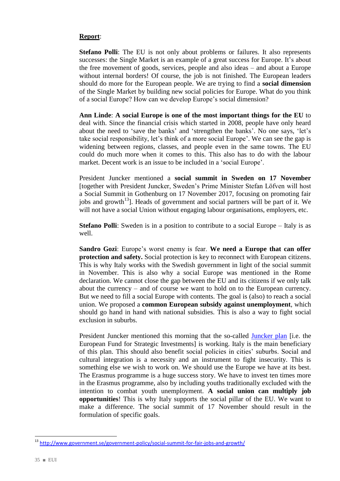#### **Report**:

**Stefano Polli**: The EU is not only about problems or failures. It also represents successes: the Single Market is an example of a great success for Europe. It's about the free movement of goods, services, people and also ideas – and about a Europe without internal borders! Of course, the job is not finished. The European leaders should do more for the European people. We are trying to find a **social dimension** of the Single Market by building new social policies for Europe. What do you think of a social Europe? How can we develop Europe's social dimension?

**Ann Linde**: **A social Europe is one of the most important things for the EU** to deal with. Since the financial crisis which started in 2008, people have only heard about the need to 'save the banks' and 'strengthen the banks'. No one says, 'let's take social responsibility, let's think of a more social Europe'. We can see the gap is widening between regions, classes, and people even in the same towns. The EU could do much more when it comes to this. This also has to do with the labour market. Decent work is an issue to be included in a 'social Europe'.

President Juncker mentioned a **social summit in Sweden on 17 November** [together with President Juncker, Sweden's Prime Minister Stefan Löfven will host a Social Summit in Gothenburg on 17 November 2017, focusing on promoting fair jobs and growth<sup>13</sup>. Heads of government and social partners will be part of it. We will not have a social Union without engaging labour organisations, employers, etc.

**Stefano Polli**: Sweden is in a position to contribute to a social Europe – Italy is as well.

**Sandro Gozi**: Europe's worst enemy is fear. **We need a Europe that can offer protection and safety.** Social protection is key to reconnect with European citizens. This is why Italy works with the Swedish government in light of the social summit in November. This is also why a social Europe was mentioned in the Rome declaration. We cannot close the gap between the EU and its citizens if we only talk about the currency – and of course we want to hold on to the European currency. But we need to fill a social Europe with contents. The goal is (also) to reach a social union. We proposed a **common European subsidy against unemployment**, which should go hand in hand with national subsidies. This is also a way to fight social exclusion in suburbs.

President Juncker mentioned this morning that the so-called [Juncker plan](https://ec.europa.eu/commission/priorities/jobs-growth-and-investment/investment-plan_en) [i.e. the European Fund for Strategic Investments] is working. Italy is the main beneficiary of this plan. This should also benefit social policies in cities' suburbs. Social and cultural integration is a necessity and an instrument to fight insecurity. This is something else we wish to work on. We should use the Europe we have at its best. The Erasmus programme is a huge success story. We have to invest ten times more in the Erasmus programme, also by including youths traditionally excluded with the intention to combat youth unemployment. **A social union can multiply job opportunities**! This is why Italy supports the social pillar of the EU. We want to make a difference. The social summit of 17 November should result in the formulation of specific goals.

<sup>&</sup>lt;sup>13</sup> <http://www.government.se/government-policy/social-summit-for-fair-jobs-and-growth/>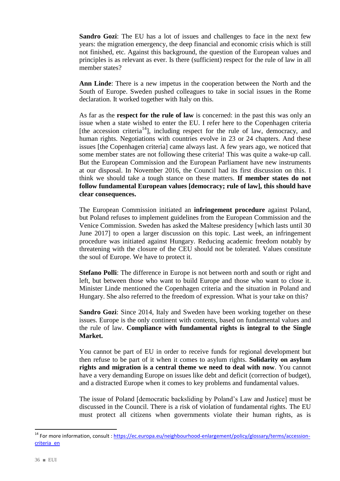**Sandro Gozi**: The EU has a lot of issues and challenges to face in the next few years: the migration emergency, the deep financial and economic crisis which is still not finished, etc. Against this background, the question of the European values and principles is as relevant as ever. Is there (sufficient) respect for the rule of law in all member states?

**Ann Linde**: There is a new impetus in the cooperation between the North and the South of Europe. Sweden pushed colleagues to take in social issues in the Rome declaration. It worked together with Italy on this.

As far as the **respect for the rule of law** is concerned: in the past this was only an issue when a state wished to enter the EU. I refer here to the Copenhagen criteria [the accession criteria<sup>14</sup>], including respect for the rule of law, democracy, and human rights. Negotiations with countries evolve in 23 or 24 chapters. And these issues [the Copenhagen criteria] came always last. A few years ago, we noticed that some member states are not following these criteria! This was quite a wake-up call. But the European Commission and the European Parliament have new instruments at our disposal. In November 2016, the Council had its first discussion on this. I think we should take a tough stance on these matters. **If member states do not follow fundamental European values [democracy; rule of law], this should have clear consequences.** 

The European Commission initiated an **infringement procedure** against Poland, but Poland refuses to implement guidelines from the European Commission and the Venice Commission. Sweden has asked the Maltese presidency [which lasts until 30 June 2017] to open a larger discussion on this topic. Last week, an infringement procedure was initiated against Hungary. Reducing academic freedom notably by threatening with the closure of the CEU should not be tolerated. Values constitute the soul of Europe. We have to protect it.

**Stefano Polli**: The difference in Europe is not between north and south or right and left, but between those who want to build Europe and those who want to close it. Minister Linde mentioned the Copenhagen criteria and the situation in Poland and Hungary. She also referred to the freedom of expression. What is your take on this?

**Sandro Gozi**: Since 2014, Italy and Sweden have been working together on these issues. Europe is the only continent with contents, based on fundamental values and the rule of law. **Compliance with fundamental rights is integral to the Single Market.**

You cannot be part of EU in order to receive funds for regional development but then refuse to be part of it when it comes to asylum rights. **Solidarity on asylum rights and migration is a central theme we need to deal with now**. You cannot have a very demanding Europe on issues like debt and deficit (correction of budget), and a distracted Europe when it comes to key problems and fundamental values.

The issue of Poland [democratic backsliding by Poland's Law and Justice] must be discussed in the Council. There is a risk of violation of fundamental rights. The EU must protect all citizens when governments violate their human rights, as is

<sup>&</sup>lt;sup>14</sup> For more information, consult : [https://ec.europa.eu/neighbourhood-enlargement/policy/glossary/terms/accession](https://ec.europa.eu/neighbourhood-enlargement/policy/glossary/terms/accession-criteria_en)[criteria\\_en](https://ec.europa.eu/neighbourhood-enlargement/policy/glossary/terms/accession-criteria_en)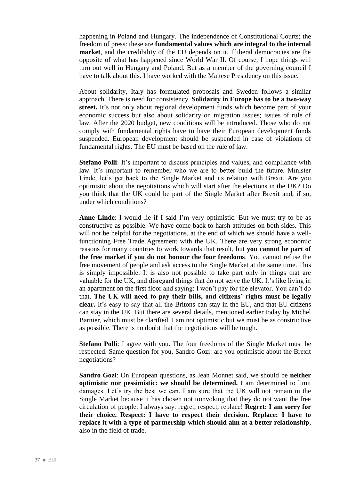happening in Poland and Hungary. The independence of Constitutional Courts; the freedom of press: these are **fundamental values which are integral to the internal market**, and the credibility of the EU depends on it. Illiberal democracies are the opposite of what has happened since World War II. Of course, I hope things will turn out well in Hungary and Poland. But as a member of the governing council I have to talk about this. I have worked with the Maltese Presidency on this issue.

About solidarity, Italy has formulated proposals and Sweden follows a similar approach. There is need for consistency. **Solidarity in Europe has to be a two-way street.** It's not only about regional development funds which become part of your economic success but also about solidarity on migration issues; issues of rule of law. After the 2020 budget, new conditions will be introduced. Those who do not comply with fundamental rights have to have their European development funds suspended. European development should be suspended in case of violations of fundamental rights. The EU must be based on the rule of law.

**Stefano Polli**: It's important to discuss principles and values, and compliance with law. It's important to remember who we are to better build the future. Minister Linde, let's get back to the Single Market and its relation with Brexit. Are you optimistic about the negotiations which will start after the elections in the UK? Do you think that the UK could be part of the Single Market after Brexit and, if so, under which conditions?

**Anne Linde**: I would lie if I said I'm very optimistic. But we must try to be as constructive as possible. We have come back to harsh attitudes on both sides. This will not be helpful for the negotiations, at the end of which we should have a wellfunctioning Free Trade Agreement with the UK. There are very strong economic reasons for many countries to work towards that result, but **you cannot be part of the free market if you do not honour the four freedoms**. You cannot refuse the free movement of people and ask access to the Single Market at the same time. This is simply impossible. It is also not possible to take part only in things that are valuable for the UK, and disregard things that do not serve the UK. It's like living in an apartment on the first floor and saying: I won't pay for the elevator. You can't do that. **The UK will need to pay their bills, and citizens' rights must be legally clear.** It's easy to say that all the Britons can stay in the EU, and that EU citizens can stay in the UK. But there are several details, mentioned earlier today by Michel Barnier, which must be clarified. I am not optimistic but we must be as constructive as possible. There is no doubt that the negotiations will be tough.

**Stefano Polli**: I agree with you. The four freedoms of the Single Market must be respected. Same question for you, Sandro Gozi: are you optimistic about the Brexit negotiations?

**Sandro Gozi**: On European questions, as Jean Monnet said, we should be **neither optimistic nor pessimistic: we should be determined.** I am determined to limit damages. Let's try the best we can. I am sure that the UK will not remain in the Single Market because it has chosen not toinvoking that they do not want the free circulation of people. I always say: regret, respect, replace! **Regret: I am sorry for their choice. Respect: I have to respect their decision. Replace: I have to replace it with a type of partnership which should aim at a better relationship**, also in the field of trade.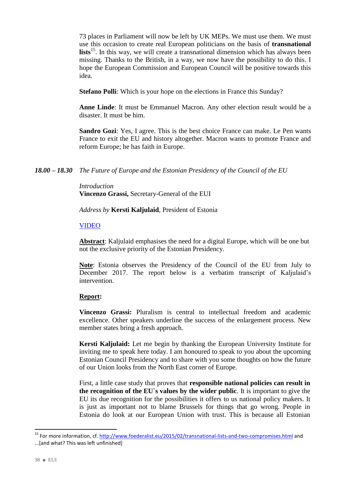73 places in Parliament will now be left by UK MEPs. We must use them. We must use this occasion to create real European politicians on the basis of **transnational**  lists<sup>15</sup>. In this way, we will create a transnational dimension which has always been missing. Thanks to the British, in a way, we now have the possibility to do this. I hope the European Commission and European Council will be positive towards this idea.

**Stefano Polli**: Which is your hope on the elections in France this Sunday?

**Anne Linde**: It must be Emmanuel Macron. Any other election result would be a disaster. It must be him.

**Sandro Gozi**: Yes, I agree. This is the best choice France can make. Le Pen wants France to exit the EU and history altogether. Macron wants to promote France and reform Europe; he has faith in Europe.

*18.00 – 18.30 The Future of Europe and the Estonian Presidency of the Council of the EU*

*Introduction* **Vincenzo Grassi,** Secretary-General of the EUI

*Address by* **Kersti Kaljulaid**, President of Estonia

#### [VIDEO](https://www.youtube.com/watch?v=057dR3uyWyw&feature=youtu.be&t=13497)

**Abstract**: Kaljulaid emphasises the need for a digital Europe, which will be one but not the exclusive priority of the Estonian Presidency.

**Note**: Estonia observes the Presidency of the Council of the EU from July to December 2017. The report below is a verbatim transcript of Kaljulaid's intervention.

#### **Report:**

**Vincenzo Grassi:** Pluralism is central to intellectual freedom and academic excellence. Other speakers underline the success of the enlargement process. New member states bring a fresh approach.

**Kersti Kaljulaid:** Let me begin by thanking the European University Institute for inviting me to speak here today. I am honoured to speak to you about the upcoming Estonian Council Presidency and to share with you some thoughts on how the future of our Union looks from the North East corner of Europe.

First, a little case study that proves that **responsible national policies can result in the recognition of the EU`s values by the wider public**. It is important to give the EU its due recognition for the possibilities it offers to us national policy makers. It is just as important not to blame Brussels for things that go wrong. People in Estonia do look at our European Union with trust. This is because all Estonian

<sup>&</sup>lt;sup>15</sup> For more information, cf[. http://www.foederalist.eu/2015/02/transnational-lists-and-two-compromises.html](http://www.foederalist.eu/2015/02/transnational-lists-and-two-compromises.html) and ...[and what? This was left unfinished]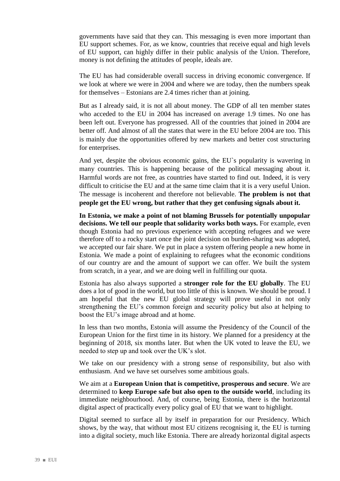governments have said that they can. This messaging is even more important than EU support schemes. For, as we know, countries that receive equal and high levels of EU support, can highly differ in their public analysis of the Union. Therefore, money is not defining the attitudes of people, ideals are.

The EU has had considerable overall success in driving economic convergence. If we look at where we were in 2004 and where we are today, then the numbers speak for themselves – Estonians are 2.4 times richer than at joining.

But as I already said, it is not all about money. The GDP of all ten member states who acceded to the EU in 2004 has increased on average 1.9 times. No one has been left out. Everyone has progressed. All of the countries that joined in 2004 are better off. And almost of all the states that were in the EU before 2004 are too. This is mainly due the opportunities offered by new markets and better cost structuring for enterprises.

And yet, despite the obvious economic gains, the EU`s popularity is wavering in many countries. This is happening because of the political messaging about it. Harmful words are not free, as countries have started to find out. Indeed, it is very difficult to criticise the EU and at the same time claim that it is a very useful Union. The message is incoherent and therefore not believable. **The problem is not that people get the EU wrong, but rather that they get confusing signals about it.** 

**In Estonia, we make a point of not blaming Brussels for potentially unpopular decisions. We tell our people that solidarity works both ways.** For example, even though Estonia had no previous experience with accepting refugees and we were therefore off to a rocky start once the joint decision on burden-sharing was adopted, we accepted our fair share. We put in place a system offering people a new home in Estonia. We made a point of explaining to refugees what the economic conditions of our country are and the amount of support we can offer. We built the system from scratch, in a year, and we are doing well in fulfilling our quota.

Estonia has also always supported a **stronger role for the EU globally**. The EU does a lot of good in the world, but too little of this is known. We should be proud. I am hopeful that the new EU global strategy will prove useful in not only strengthening the EU's common foreign and security policy but also at helping to boost the EU's image abroad and at home.

In less than two months, Estonia will assume the Presidency of the Council of the European Union for the first time in its history. We planned for a presidency at the beginning of 2018, six months later. But when the UK voted to leave the EU, we needed to step up and took over the UK's slot.

We take on our presidency with a strong sense of responsibility, but also with enthusiasm. And we have set ourselves some ambitious goals.

We aim at a **European Union that is competitive, prosperous and secure**. We are determined to **keep Europe safe but also open to the outside world**, including its immediate neighbourhood. And, of course, being Estonia, there is the horizontal digital aspect of practically every policy goal of EU that we want to highlight.

Digital seemed to surface all by itself in preparation for our Presidency. Which shows, by the way, that without most EU citizens recognising it, the EU is turning into a digital society, much like Estonia. There are already horizontal digital aspects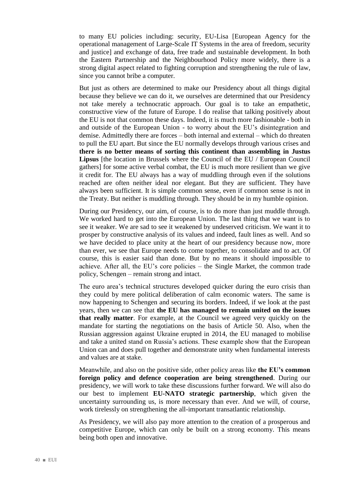to many EU policies including: security, EU-Lisa [European Agency for the operational management of Large-Scale IT Systems in the area of freedom, security and justice] and exchange of data, free trade and sustainable development. In both the Eastern Partnership and the Neighbourhood Policy more widely, there is a strong digital aspect related to fighting corruption and strengthening the rule of law, since you cannot bribe a computer.

But just as others are determined to make our Presidency about all things digital because they believe we can do it, we ourselves are determined that our Presidency not take merely a technocratic approach. Our goal is to take an empathetic, constructive view of the future of Europe. I do realise that talking positively about the EU is not that common these days. Indeed, it is much more fashionable - both in and outside of the European Union - to worry about the EU's disintegration and demise. Admittedly there are forces – both internal and external – which do threaten to pull the EU apart. But since the EU normally develops through various crises and **there is no better means of sorting this continent than assembling in Justus Lipsus** [the location in Brussels where the Council of the EU / European Council gathers] for some active verbal combat, the EU is much more resilient than we give it credit for. The EU always has a way of muddling through even if the solutions reached are often neither ideal nor elegant. But they are sufficient. They have always been sufficient. It is simple common sense, even if common sense is not in the Treaty. But neither is muddling through. They should be in my humble opinion.

During our Presidency, our aim, of course, is to do more than just muddle through. We worked hard to get into the European Union. The last thing that we want is to see it weaker. We are sad to see it weakened by undeserved criticism. We want it to prosper by constructive analysis of its values and indeed, fault lines as well. And so we have decided to place unity at the heart of our presidency because now, more than ever, we see that Europe needs to come together, to consolidate and to act. Of course, this is easier said than done. But by no means it should impossible to achieve. After all, the EU's core policies – the Single Market, the common trade policy, Schengen – remain strong and intact.

The euro area's technical structures developed quicker during the euro crisis than they could by mere political deliberation of calm economic waters. The same is now happening to Schengen and securing its borders. Indeed, if we look at the past years, then we can see that **the EU has managed to remain united on the issues that really matter**. For example, at the Council we agreed very quickly on the mandate for starting the negotiations on the basis of Article 50. Also, when the Russian aggression against Ukraine erupted in 2014, the EU managed to mobilise and take a united stand on Russia's actions. These example show that the European Union can and does pull together and demonstrate unity when fundamental interests and values are at stake.

Meanwhile, and also on the positive side, other policy areas like **the EU's common foreign policy and defence cooperation are being strengthened**. During our presidency, we will work to take these discussions further forward. We will also do our best to implement **EU-NATO strategic partnership**, which given the uncertainty surrounding us, is more necessary than ever. And we will, of course, work tirelessly on strengthening the all-important transatlantic relationship.

As Presidency, we will also pay more attention to the creation of a prosperous and competitive Europe, which can only be built on a strong economy. This means being both open and innovative.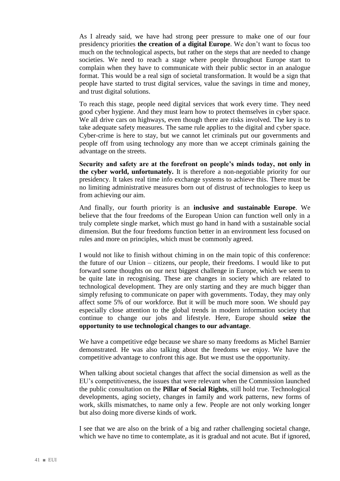As I already said, we have had strong peer pressure to make one of our four presidency priorities **the creation of a digital Europe**. We don't want to focus too much on the technological aspects, but rather on the steps that are needed to change societies. We need to reach a stage where people throughout Europe start to complain when they have to communicate with their public sector in an analogue format. This would be a real sign of societal transformation. It would be a sign that people have started to trust digital services, value the savings in time and money, and trust digital solutions.

To reach this stage, people need digital services that work every time. They need good cyber hygiene. And they must learn how to protect themselves in cyber space. We all drive cars on highways, even though there are risks involved. The key is to take adequate safety measures. The same rule applies to the digital and cyber space. Cyber-crime is here to stay, but we cannot let criminals put our governments and people off from using technology any more than we accept criminals gaining the advantage on the streets.

**Security and safety are at the forefront on people's minds today, not only in the cyber world, unfortunately.** It is therefore a non-negotiable priority for our presidency. It takes real time info exchange systems to achieve this. There must be no limiting administrative measures born out of distrust of technologies to keep us from achieving our aim.

And finally, our fourth priority is an **inclusive and sustainable Europe**. We believe that the four freedoms of the European Union can function well only in a truly complete single market, which must go hand in hand with a sustainable social dimension. But the four freedoms function better in an environment less focused on rules and more on principles, which must be commonly agreed.

I would not like to finish without chiming in on the main topic of this conference: the future of our Union – citizens, our people, their freedoms. I would like to put forward some thoughts on our next biggest challenge in Europe, which we seem to be quite late in recognising. These are changes in society which are related to technological development. They are only starting and they are much bigger than simply refusing to communicate on paper with governments. Today, they may only affect some 5% of our workforce. But it will be much more soon. We should pay especially close attention to the global trends in modern information society that continue to change our jobs and lifestyle. Here, Europe should **seize the opportunity to use technological changes to our advantage**.

We have a competitive edge because we share so many freedoms as Michel Barnier demonstrated. He was also talking about the freedoms we enjoy. We have the competitive advantage to confront this age. But we must use the opportunity.

When talking about societal changes that affect the social dimension as well as the EU's competitiveness, the issues that were relevant when the Commission launched the public consultation on the **Pillar of Social Rights**, still hold true. Technological developments, aging society, changes in family and work patterns, new forms of work, skills mismatches, to name only a few. People are not only working longer but also doing more diverse kinds of work.

I see that we are also on the brink of a big and rather challenging societal change, which we have no time to contemplate, as it is gradual and not acute. But if ignored,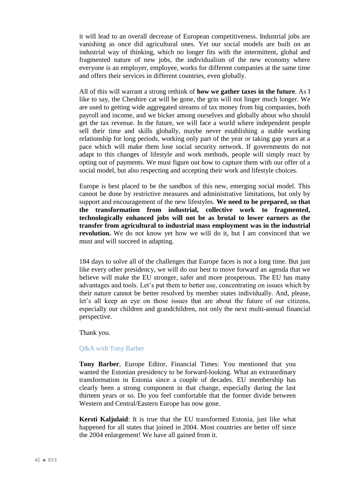it will lead to an overall decrease of European competitiveness. Industrial jobs are vanishing as once did agricultural ones. Yet our social models are built on an industrial way of thinking, which no longer fits with the intermittent, global and fragmented nature of new jobs, the individualism of the new economy where everyone is an employer, employee, works for different companies at the same time and offers their services in different countries, even globally.

All of this will warrant a strong rethink of **how we gather taxes in the future**. As I like to say, the Cheshire cat will be gone, the grin will not linger much longer. We are used to getting wide aggregated streams of tax money from big companies, both payroll and income, and we bicker among ourselves and globally about who should get the tax revenue. In the future, we will face a world where independent people sell their time and skills globally, maybe never establishing a stable working relationship for long periods, working only part of the year or taking gap years at a pace which will make them lose social security network. If governments do not adapt to this changes of lifestyle and work methods, people will simply react by opting out of payments. We must figure out how to capture them with our offer of a social model, but also respecting and accepting their work and lifestyle choices.

Europe is best placed to be the sandbox of this new, emerging social model. This cannot be done by restrictive measures and administrative limitations, but only by support and encouragement of the new lifestyles. **We need to be prepared, so that the transformation from industrial, collective work to fragmented, technologically enhanced jobs will not be as brutal to lower earners as the transfer from agricultural to industrial mass employment was in the industrial revolution.** We do not know yet how we will do it, but I am convinced that we must and will succeed in adapting.

184 days to solve all of the challenges that Europe faces is not a long time. But just like every other presidency, we will do our best to move forward an agenda that we believe will make the EU stronger, safer and more prosperous. The EU has many advantages and tools. Let's put them to better use, concentrating on issues which by their nature cannot be better resolved by member states individually. And, please, let's all keep an eye on those issues that are about the future of our citizens, especially our children and grandchildren, not only the next multi-annual financial perspective.

Thank you.

#### Q&A with Tony Barber

**Tony Barber**, Europe Editor, Financial Times: You mentioned that you wanted the Estonian presidency to be forward-looking. What an extraordinary transformation in Estonia since a couple of decades. EU membership has clearly been a strong component in that change, especially during the last thirteen years or so. Do you feel comfortable that the former divide between Western and Central/Eastern Europe has now gone.

**Kersti Kaljulaid**: It is true that the EU transformed Estonia, just like what happened for all states that joined in 2004. Most countries are better off since the 2004 enlargement! We have all gained from it.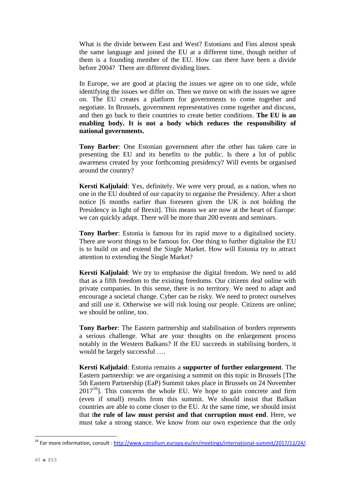What is the divide between East and West? Estonians and Fins almost speak the same language and joined the EU at a different time, though neither of them is a founding member of the EU. How can there have been a divide before 2004? There are different dividing lines.

In Europe, we are good at placing the issues we agree on to one side, while identifying the issues we differ on. Then we move on with the issues we agree on. The EU creates a platform for governments to come together and negotiate. In Brussels, government representatives come together and discuss, and then go back to their countries to create better conditions. **The EU is an enabling body. It is not a body which reduces the responsibility of national governments.** 

**Tony Barber**: One Estonian government after the other has taken care in presenting the EU and its benefits to the public. Is there a lot of public awareness created by your forthcoming presidency? Will events be organised around the country?

**Kersti Kaljulaid**: Yes, definitely. We were very proud, as a nation, when no one in the EU doubted of our capacity to organise the Presidency. After a short notice [6 months earlier than foreseen given the UK is not holding the Presidency in light of Brexit]. This means we are now at the heart of Europe: we can quickly adapt. There will be more than 200 events and seminars.

**Tony Barber**: Estonia is famous for its rapid move to a digitalised society. There are worst things to be famous for. One thing to further digitalise the EU is to build on and extend the Single Market. How will Estonia try to attract attention to extending the Single Market?

**Kersti Kaljulaid**: We try to emphasise the digital freedom. We need to add that as a fifth freedom to the existing freedoms. Our citizens deal online with private companies. In this sense, there is no territory. We need to adapt and encourage a societal change. Cyber can be risky. We need to protect ourselves and still use it. Otherwise we will risk losing our people. Citizens are online; we should be online, too.

**Tony Barber**: The Eastern partnership and stabilisation of borders represents a serious challenge. What are your thoughts on the enlargement process notably in the Western Balkans? If the EU succeeds in stabilising borders, it would be largely successful ….

**Kersti Kaljulaid**: Estonia remains a **supporter of further enlargement**. The Eastern partnership: we are organising a summit on this topic in Brussels [The 5th Eastern Partnership (EaP) Summit takes place in Brussels on 24 November  $2017<sup>16</sup>$ . This concerns the whole EU. We hope to gain concrete and firm (even if small) results from this summit. We should insist that Balkan countries are able to come closer to the EU. At the same time, we should insist that t**he rule of law must persist and that corruption must end**. Here, we must take a strong stance. We know from our own experience that the only

<sup>&</sup>lt;sup>16</sup> For more information, consult : <u>http://www.consilium.europa.eu/en/meetings/international-summit/2017/11/24/</u>.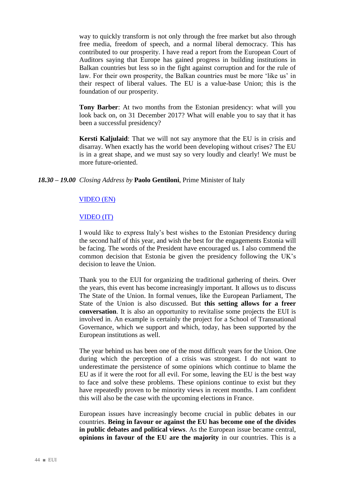way to quickly transform is not only through the free market but also through free media, freedom of speech, and a normal liberal democracy. This has contributed to our prosperity. I have read a report from the European Court of Auditors saying that Europe has gained progress in building institutions in Balkan countries but less so in the fight against corruption and for the rule of law. For their own prosperity, the Balkan countries must be more 'like us' in their respect of liberal values. The EU is a value-base Union; this is the foundation of our prosperity.

**Tony Barber**: At two months from the Estonian presidency: what will you look back on, on 31 December 2017? What will enable you to say that it has been a successful presidency?

**Kersti Kaljulaid**: That we will not say anymore that the EU is in crisis and disarray. When exactly has the world been developing without crises? The EU is in a great shape, and we must say so very loudly and clearly! We must be more future-oriented.

#### *18.30 – 19.00 Closing Address by* **Paolo Gentiloni**, Prime Minister of Italy

#### [VIDEO](https://www.youtube.com/watch?v=057dR3uyWyw&feature=youtu.be&t=15572) (EN)

#### [VIDEO](https://youtu.be/chhGted2xzY) (IT)

I would like to express Italy's best wishes to the Estonian Presidency during the second half of this year, and wish the best for the engagements Estonia will be facing. The words of the President have encouraged us. I also commend the common decision that Estonia be given the presidency following the UK's decision to leave the Union.

Thank you to the EUI for organizing the traditional gathering of theirs. Over the years, this event has become increasingly important. It allows us to discuss The State of the Union. In formal venues, like the European Parliament, The State of the Union is also discussed. But **this setting allows for a freer conversation**. It is also an opportunity to revitalise some projects the EUI is involved in. An example is certainly the project for a School of Transnational Governance, which we support and which, today, has been supported by the European institutions as well.

The year behind us has been one of the most difficult years for the Union. One during which the perception of a crisis was strongest. I do not want to underestimate the persistence of some opinions which continue to blame the EU as if it were the root for all evil. For some, leaving the EU is the best way to face and solve these problems. These opinions continue to exist but they have repeatedly proven to be minority views in recent months. I am confident this will also be the case with the upcoming elections in France.

European issues have increasingly become crucial in public debates in our countries. **Being in favour or against the EU has become one of the divides in public debates and political views**. As the European issue became central, **opinions in favour of the EU are the majority** in our countries. This is a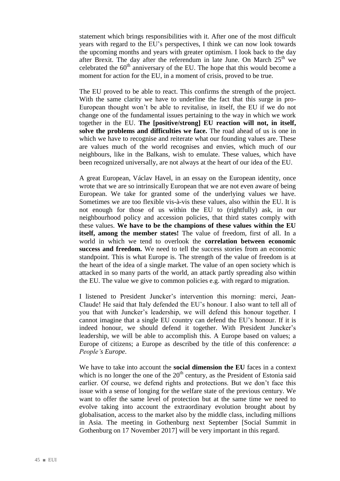statement which brings responsibilities with it. After one of the most difficult years with regard to the EU's perspectives, I think we can now look towards the upcoming months and years with greater optimism. I look back to the day after Brexit. The day after the referendum in late June. On March  $25<sup>th</sup>$  we celebrated the  $60<sup>th</sup>$  anniversary of the EU. The hope that this would become a moment for action for the EU, in a moment of crisis, proved to be true.

The EU proved to be able to react. This confirms the strength of the project. With the same clarity we have to underline the fact that this surge in pro-European thought won't be able to revitalise, in itself, the EU if we do not change one of the fundamental issues pertaining to the way in which we work together in the EU. **The [positive/strong] EU reaction will not, in itself, solve the problems and difficulties we face.** The road ahead of us is one in which we have to recognise and reiterate what our founding values are. These are values much of the world recognises and envies, which much of our neighbours, like in the Balkans, wish to emulate. These values, which have been recognized universally, are not always at the heart of our idea of the EU.

A great European, Václav Havel, in an essay on the European identity, once wrote that we are so intrinsically European that we are not even aware of being European. We take for granted some of the underlying values we have. Sometimes we are too flexible vis-à-vis these values, also within the EU. It is not enough for those of us within the EU to (rightfully) ask, in our neighbourhood policy and accession policies, that third states comply with these values. **We have to be the champions of these values within the EU itself, among the member states!** The value of freedom, first of all. In a world in which we tend to overlook the **correlation between economic success and freedom.** We need to tell the success stories from an economic standpoint. This is what Europe is. The strength of the value of freedom is at the heart of the idea of a single market. The value of an open society which is attacked in so many parts of the world, an attack partly spreading also within the EU. The value we give to common policies e.g. with regard to migration.

I listened to President Juncker's intervention this morning: merci, Jean-Claude! He said that Italy defended the EU's honour. I also want to tell all of you that with Juncker's leadership, we will defend this honour together. I cannot imagine that a single EU country can defend the EU's honour. If it is indeed honour, we should defend it together. With President Juncker's leadership, we will be able to accomplish this. A Europe based on values; a Europe of citizens; a Europe as described by the title of this conference: *a People's Europe*.

We have to take into account the **social dimension the EU** faces in a context we have to the  $m\epsilon$  are  $m\epsilon$  in Fig. 20th century, as the President of Estonia said which is no longer the one of the  $20<sup>th</sup>$  century, as the President of Estonia said earlier. Of course, we defend rights and protections. But we don't face this issue with a sense of longing for the welfare state of the previous century. We want to offer the same level of protection but at the same time we need to evolve taking into account the extraordinary evolution brought about by globalisation, access to the market also by the middle class, including millions in Asia. The meeting in Gothenburg next September [Social Summit in Gothenburg on 17 November 2017] will be very important in this regard.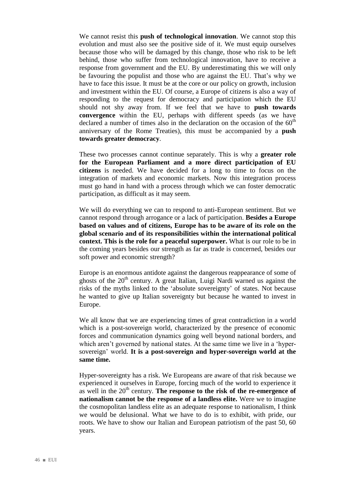We cannot resist this **push of technological innovation**. We cannot stop this evolution and must also see the positive side of it. We must equip ourselves because those who will be damaged by this change, those who risk to be left behind, those who suffer from technological innovation, have to receive a response from government and the EU. By underestimating this we will only be favouring the populist and those who are against the EU. That's why we have to face this issue. It must be at the core or our policy on growth, inclusion and investment within the EU. Of course, a Europe of citizens is also a way of responding to the request for democracy and participation which the EU should not shy away from. If we feel that we have to **push towards convergence** within the EU, perhaps with different speeds (as we have declared a number of times also in the declaration on the occasion of the  $60<sup>th</sup>$ anniversary of the Rome Treaties), this must be accompanied by a **push towards greater democracy**.

These two processes cannot continue separately. This is why a **greater role for the European Parliament and a more direct participation of EU citizens** is needed. We have decided for a long to time to focus on the integration of markets and economic markets. Now this integration process must go hand in hand with a process through which we can foster democratic participation, as difficult as it may seem.

We will do everything we can to respond to anti-European sentiment. But we cannot respond through arrogance or a lack of participation. **Besides a Europe based on values and of citizens, Europe has to be aware of its role on the global scenario and of its responsibilities within the international political context. This is the role for a peaceful superpower.** What is our role to be in the coming years besides our strength as far as trade is concerned, besides our soft power and economic strength?

Europe is an enormous antidote against the dangerous reappearance of some of ghosts of the  $20<sup>th</sup>$  century. A great Italian, Luigi Nardi warned us against the risks of the myths linked to the 'absolute sovereignty' of states. Not because he wanted to give up Italian sovereignty but because he wanted to invest in Europe.

We all know that we are experiencing times of great contradiction in a world which is a post-sovereign world, characterized by the presence of economic forces and communication dynamics going well beyond national borders, and which aren't governed by national states. At the same time we live in a 'hypersovereign' world. **It is a post-sovereign and hyper-sovereign world at the same time.** 

Hyper-sovereignty has a risk. We Europeans are aware of that risk because we experienced it ourselves in Europe, forcing much of the world to experience it as well in the 20<sup>th</sup> century. **The response to the risk of the re-emergence of nationalism cannot be the response of a landless elite.** Were we to imagine the cosmopolitan landless elite as an adequate response to nationalism, I think we would be delusional. What we have to do is to exhibit, with pride, our roots. We have to show our Italian and European patriotism of the past 50, 60 years.